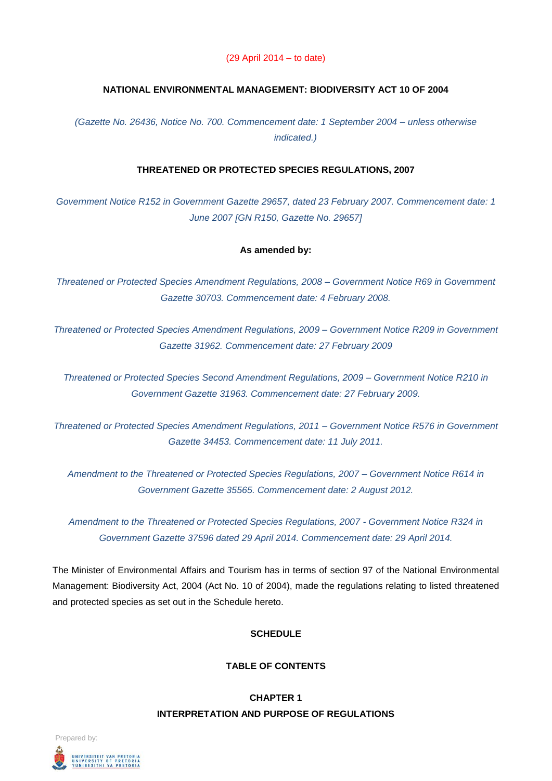#### (29 April 2014 – to date)

### **NATIONAL ENVIRONMENTAL MANAGEMENT: BIODIVERSITY ACT 10 OF 2004**

*(Gazette No. 26436, Notice No. 700. Commencement date: 1 September 2004 – unless otherwise indicated.)*

# **THREATENED OR PROTECTED SPECIES REGULATIONS, 2007**

*Government Notice R152 in Government Gazette 29657, dated 23 February 2007. Commencement date: 1 June 2007 [GN R150, Gazette No. 29657]*

#### **As amended by:**

*Threatened or Protected Species Amendment Regulations, 2008 – Government Notice R69 in Government Gazette 30703. Commencement date: 4 February 2008.*

*Threatened or Protected Species Amendment Regulations, 2009 – Government Notice R209 in Government Gazette 31962. Commencement date: 27 February 2009*

*Threatened or Protected Species Second Amendment Regulations, 2009 – Government Notice R210 in Government Gazette 31963. Commencement date: 27 February 2009.*

*Threatened or Protected Species Amendment Regulations, 2011 – Government Notice R576 in Government Gazette 34453. Commencement date: 11 July 2011.*

*Amendment to the Threatened or Protected Species Regulations, 2007 – Government Notice R614 in Government Gazette 35565. Commencement date: 2 August 2012.*

*Amendment to the Threatened or Protected Species Regulations, 2007 - Government Notice R324 in Government Gazette 37596 dated 29 April 2014. Commencement date: 29 April 2014.*

The Minister of Environmental Affairs and Tourism has in terms of section 97 of the National Environmental Management: Biodiversity Act, 2004 (Act No. 10 of 2004), made the regulations relating to listed threatened and protected species as set out in the Schedule hereto.

# **SCHEDULE**

# **TABLE OF CONTENTS**

# **CHAPTER 1 INTERPRETATION AND PURPOSE OF REGULATIONS**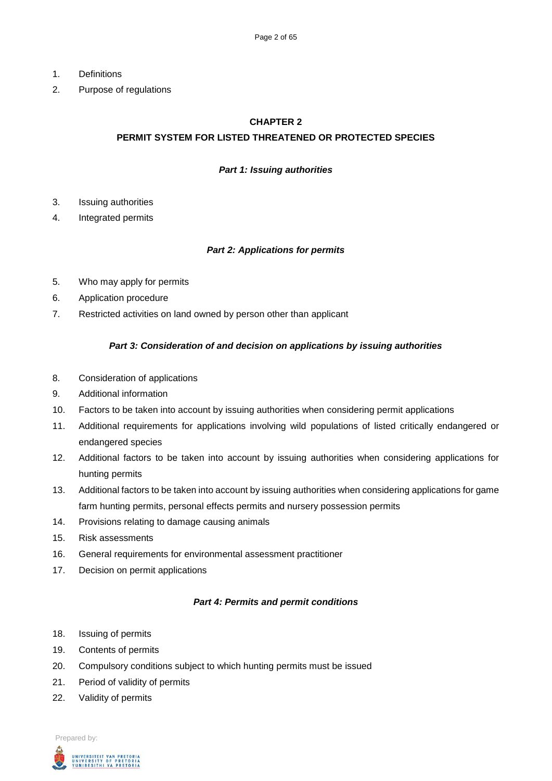- 1. Definitions
- 2. Purpose of regulations

#### **CHAPTER 2**

## **PERMIT SYSTEM FOR LISTED THREATENED OR PROTECTED SPECIES**

#### *Part 1: Issuing authorities*

- 3. Issuing authorities
- 4. Integrated permits

### *Part 2: Applications for permits*

- 5. Who may apply for permits
- 6. Application procedure
- 7. Restricted activities on land owned by person other than applicant

### *Part 3: Consideration of and decision on applications by issuing authorities*

- 8. Consideration of applications
- 9. Additional information
- 10. Factors to be taken into account by issuing authorities when considering permit applications
- 11. Additional requirements for applications involving wild populations of listed critically endangered or endangered species
- 12. Additional factors to be taken into account by issuing authorities when considering applications for hunting permits
- 13. Additional factors to be taken into account by issuing authorities when considering applications for game farm hunting permits, personal effects permits and nursery possession permits
- 14. Provisions relating to damage causing animals
- 15. Risk assessments
- 16. General requirements for environmental assessment practitioner
- 17. Decision on permit applications

#### *Part 4: Permits and permit conditions*

- 18. Issuing of permits
- 19. Contents of permits
- 20. Compulsory conditions subject to which hunting permits must be issued
- 21. Period of validity of permits
- 22. Validity of permits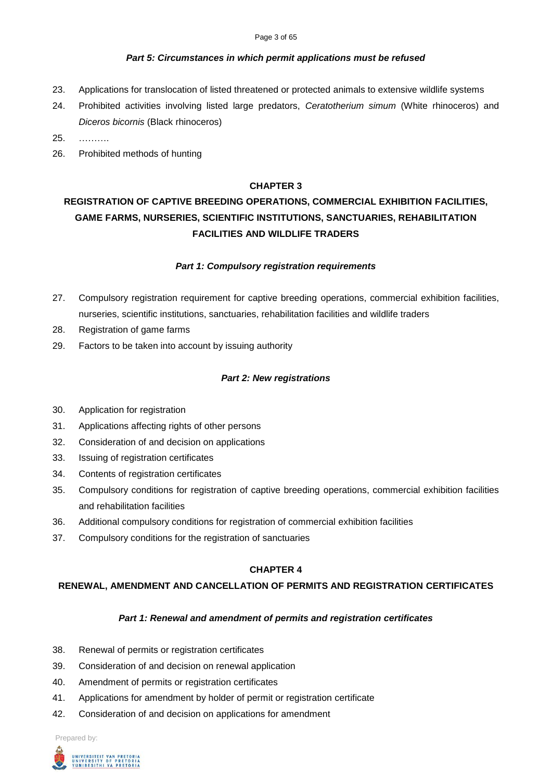#### Page 3 of 65

#### *Part 5: Circumstances in which permit applications must be refused*

- 23. Applications for translocation of listed threatened or protected animals to extensive wildlife systems
- 24. Prohibited activities involving listed large predators, *Ceratotherium simum* (White rhinoceros) and *Diceros bicornis* (Black rhinoceros)
- 25. ……….
- 26. Prohibited methods of hunting

### **CHAPTER 3**

# **REGISTRATION OF CAPTIVE BREEDING OPERATIONS, COMMERCIAL EXHIBITION FACILITIES, GAME FARMS, NURSERIES, SCIENTIFIC INSTITUTIONS, SANCTUARIES, REHABILITATION FACILITIES AND WILDLIFE TRADERS**

#### *Part 1: Compulsory registration requirements*

- 27. Compulsory registration requirement for captive breeding operations, commercial exhibition facilities, nurseries, scientific institutions, sanctuaries, rehabilitation facilities and wildlife traders
- 28. Registration of game farms
- 29. Factors to be taken into account by issuing authority

#### *Part 2: New registrations*

- 30. Application for registration
- 31. Applications affecting rights of other persons
- 32. Consideration of and decision on applications
- 33. Issuing of registration certificates
- 34. Contents of registration certificates
- 35. Compulsory conditions for registration of captive breeding operations, commercial exhibition facilities and rehabilitation facilities
- 36. Additional compulsory conditions for registration of commercial exhibition facilities
- 37. Compulsory conditions for the registration of sanctuaries

#### **CHAPTER 4**

#### **RENEWAL, AMENDMENT AND CANCELLATION OF PERMITS AND REGISTRATION CERTIFICATES**

#### *Part 1: Renewal and amendment of permits and registration certificates*

- 38. Renewal of permits or registration certificates
- 39. Consideration of and decision on renewal application
- 40. Amendment of permits or registration certificates
- 41. Applications for amendment by holder of permit or registration certificate
- 42. Consideration of and decision on applications for amendment

Prepared by:

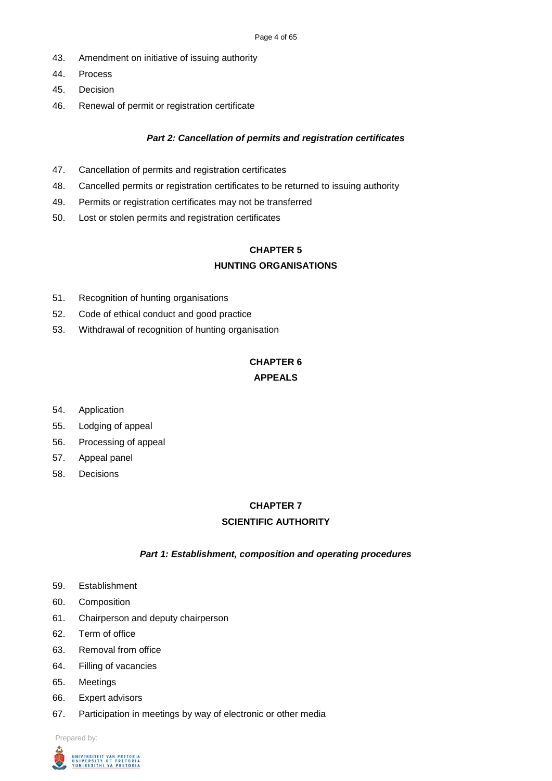- 43. Amendment on initiative of issuing authority
- 44. Process
- 45. Decision
- 46. Renewal of permit or registration certificate

# *Part 2: Cancellation of permits and registration certificates*

- 47. Cancellation of permits and registration certificates
- 48. Cancelled permits or registration certificates to be returned to issuing authority
- 49. Permits or registration certificates may not be transferred
- 50. Lost or stolen permits and registration certificates

# **CHAPTER 5 HUNTING ORGANISATIONS**

- 51. Recognition of hunting organisations
- 52. Code of ethical conduct and good practice
- 53. Withdrawal of recognition of hunting organisation

# **CHAPTER 6 APPEALS**

- 54. Application
- 55. Lodging of appeal
- 56. Processing of appeal
- 57. Appeal panel
- 58. Decisions

# **CHAPTER 7**

# **SCIENTIFIC AUTHORITY**

# *Part 1: Establishment, composition and operating procedures*

- 59. Establishment
- 60. Composition
- 61. Chairperson and deputy chairperson
- 62. Term of office
- 63. Removal from office
- 64. Filling of vacancies
- 65. Meetings
- 66. Expert advisors
- 67. Participation in meetings by way of electronic or other media

Prepared by:

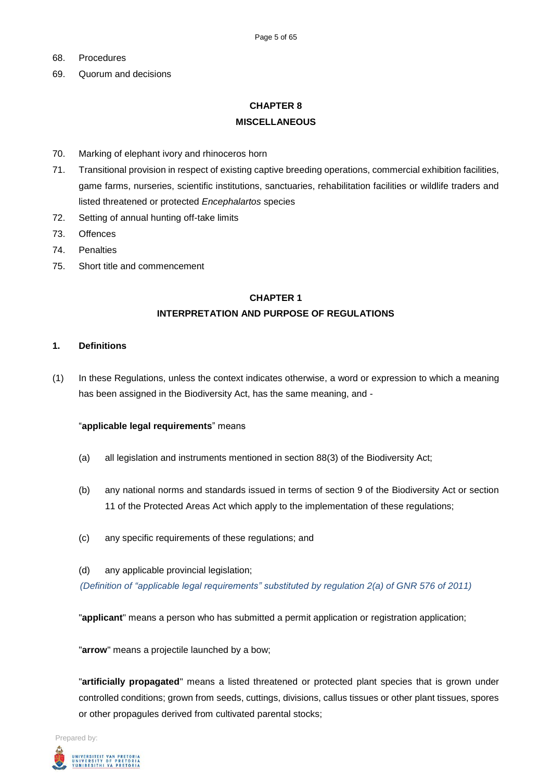- 68. Procedures
- 69. Quorum and decisions

# **CHAPTER 8 MISCELLANEOUS**

- 70. Marking of elephant ivory and rhinoceros horn
- 71. Transitional provision in respect of existing captive breeding operations, commercial exhibition facilities, game farms, nurseries, scientific institutions, sanctuaries, rehabilitation facilities or wildlife traders and listed threatened or protected *Encephalartos* species
- 72. Setting of annual hunting off-take limits
- 73. Offences
- 74. Penalties
- 75. Short title and commencement

# **CHAPTER 1 INTERPRETATION AND PURPOSE OF REGULATIONS**

#### **1. Definitions**

(1) In these Regulations, unless the context indicates otherwise, a word or expression to which a meaning has been assigned in the Biodiversity Act, has the same meaning, and -

#### "**applicable legal requirements**" means

- (a) all legislation and instruments mentioned in section 88(3) of the Biodiversity Act;
- (b) any national norms and standards issued in terms of section 9 of the Biodiversity Act or section 11 of the Protected Areas Act which apply to the implementation of these regulations;
- (c) any specific requirements of these regulations; and
- (d) any applicable provincial legislation; *(Definition of "applicable legal requirements" substituted by regulation 2(a) of GNR 576 of 2011)*

"**applicant**" means a person who has submitted a permit application or registration application;

"**arrow**" means a projectile launched by a bow;

"**artificially propagated**" means a listed threatened or protected plant species that is grown under controlled conditions; grown from seeds, cuttings, divisions, callus tissues or other plant tissues, spores or other propagules derived from cultivated parental stocks;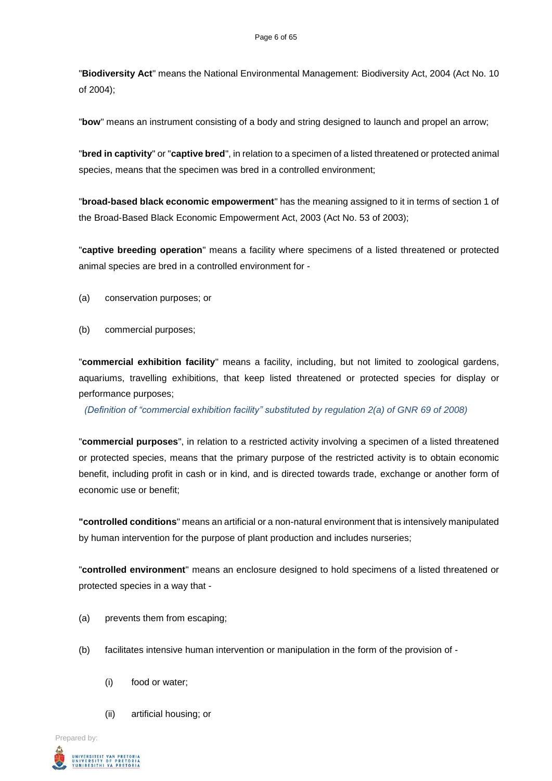"**Biodiversity Act**" means the National Environmental Management: Biodiversity Act, 2004 (Act No. 10 of 2004);

"**bow**" means an instrument consisting of a body and string designed to launch and propel an arrow;

"**bred in captivity**" or "**captive bred**", in relation to a specimen of a listed threatened or protected animal species, means that the specimen was bred in a controlled environment;

"**broad-based black economic empowerment**" has the meaning assigned to it in terms of section 1 of the Broad-Based Black Economic Empowerment Act, 2003 (Act No. 53 of 2003);

"**captive breeding operation**" means a facility where specimens of a listed threatened or protected animal species are bred in a controlled environment for -

- (a) conservation purposes; or
- (b) commercial purposes;

"**commercial exhibition facility**" means a facility, including, but not limited to zoological gardens, aquariums, travelling exhibitions, that keep listed threatened or protected species for display or performance purposes;

*(Definition of "commercial exhibition facility" substituted by regulation 2(a) of GNR 69 of 2008)*

"**commercial purposes**", in relation to a restricted activity involving a specimen of a listed threatened or protected species, means that the primary purpose of the restricted activity is to obtain economic benefit, including profit in cash or in kind, and is directed towards trade, exchange or another form of economic use or benefit;

**"controlled conditions**" means an artificial or a non-natural environment that is intensively manipulated by human intervention for the purpose of plant production and includes nurseries;

"**controlled environment**" means an enclosure designed to hold specimens of a listed threatened or protected species in a way that -

- (a) prevents them from escaping;
- (b) facilitates intensive human intervention or manipulation in the form of the provision of
	- (i) food or water;
	- (ii) artificial housing; or

Prepared by:

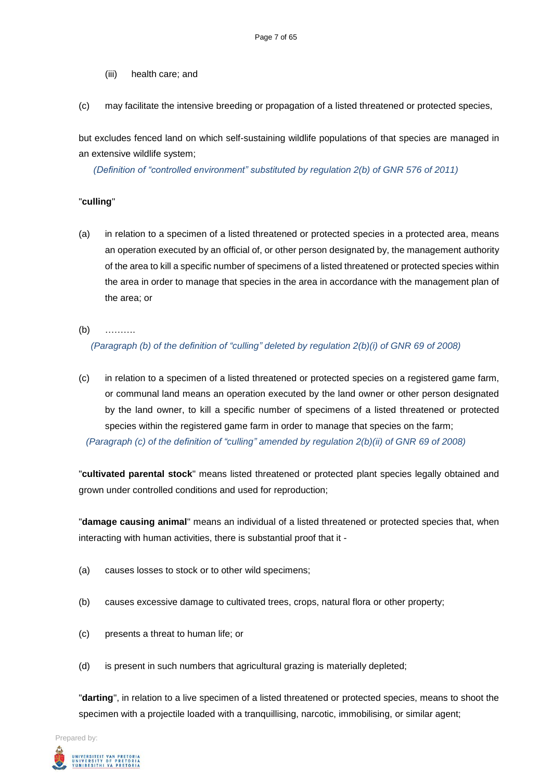- (iii) health care; and
- (c) may facilitate the intensive breeding or propagation of a listed threatened or protected species,

but excludes fenced land on which self-sustaining wildlife populations of that species are managed in an extensive wildlife system;

*(Definition of "controlled environment" substituted by regulation 2(b) of GNR 576 of 2011)*

### "**culling**"

- (a) in relation to a specimen of a listed threatened or protected species in a protected area, means an operation executed by an official of, or other person designated by, the management authority of the area to kill a specific number of specimens of a listed threatened or protected species within the area in order to manage that species in the area in accordance with the management plan of the area; or
- (b) ……….

*(Paragraph (b) of the definition of "culling" deleted by regulation 2(b)(i) of GNR 69 of 2008)*

(c) in relation to a specimen of a listed threatened or protected species on a registered game farm, or communal land means an operation executed by the land owner or other person designated by the land owner, to kill a specific number of specimens of a listed threatened or protected species within the registered game farm in order to manage that species on the farm; *(Paragraph (c) of the definition of "culling" amended by regulation 2(b)(ii) of GNR 69 of 2008)*

"**cultivated parental stock**" means listed threatened or protected plant species legally obtained and grown under controlled conditions and used for reproduction;

"**damage causing animal**" means an individual of a listed threatened or protected species that, when interacting with human activities, there is substantial proof that it -

- (a) causes losses to stock or to other wild specimens;
- (b) causes excessive damage to cultivated trees, crops, natural flora or other property;
- (c) presents a threat to human life; or
- (d) is present in such numbers that agricultural grazing is materially depleted;

"**darting**", in relation to a live specimen of a listed threatened or protected species, means to shoot the specimen with a projectile loaded with a tranquillising, narcotic, immobilising, or similar agent;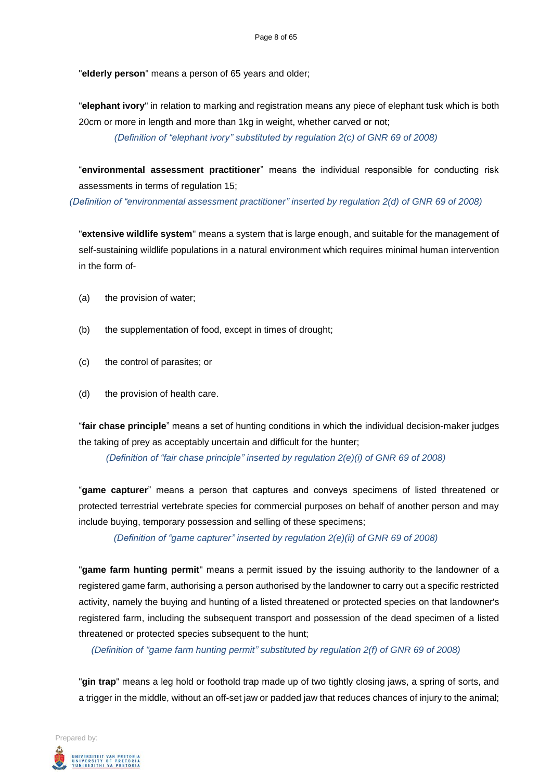"**elderly person**" means a person of 65 years and older;

"**elephant ivory**" in relation to marking and registration means any piece of elephant tusk which is both 20cm or more in length and more than 1kg in weight, whether carved or not;

*(Definition of "elephant ivory" substituted by regulation 2(c) of GNR 69 of 2008)*

"**environmental assessment practitioner**" means the individual responsible for conducting risk assessments in terms of regulation 15;

*(Definition of "environmental assessment practitioner" inserted by regulation 2(d) of GNR 69 of 2008)*

"**extensive wildlife system**" means a system that is large enough, and suitable for the management of self-sustaining wildlife populations in a natural environment which requires minimal human intervention in the form of-

- (a) the provision of water;
- (b) the supplementation of food, except in times of drought;
- (c) the control of parasites; or
- (d) the provision of health care.

"**fair chase principle**" means a set of hunting conditions in which the individual decision-maker judges the taking of prey as acceptably uncertain and difficult for the hunter;

*(Definition of "fair chase principle" inserted by regulation 2(e)(i) of GNR 69 of 2008)*

"**game capturer**" means a person that captures and conveys specimens of listed threatened or protected terrestrial vertebrate species for commercial purposes on behalf of another person and may include buying, temporary possession and selling of these specimens;

*(Definition of "game capturer" inserted by regulation 2(e)(ii) of GNR 69 of 2008)*

"**game farm hunting permit**" means a permit issued by the issuing authority to the landowner of a registered game farm, authorising a person authorised by the landowner to carry out a specific restricted activity, namely the buying and hunting of a listed threatened or protected species on that landowner's registered farm, including the subsequent transport and possession of the dead specimen of a listed threatened or protected species subsequent to the hunt;

*(Definition of "game farm hunting permit" substituted by regulation 2(f) of GNR 69 of 2008)*

"**gin trap**" means a leg hold or foothold trap made up of two tightly closing jaws, a spring of sorts, and a trigger in the middle, without an off-set jaw or padded jaw that reduces chances of injury to the animal;

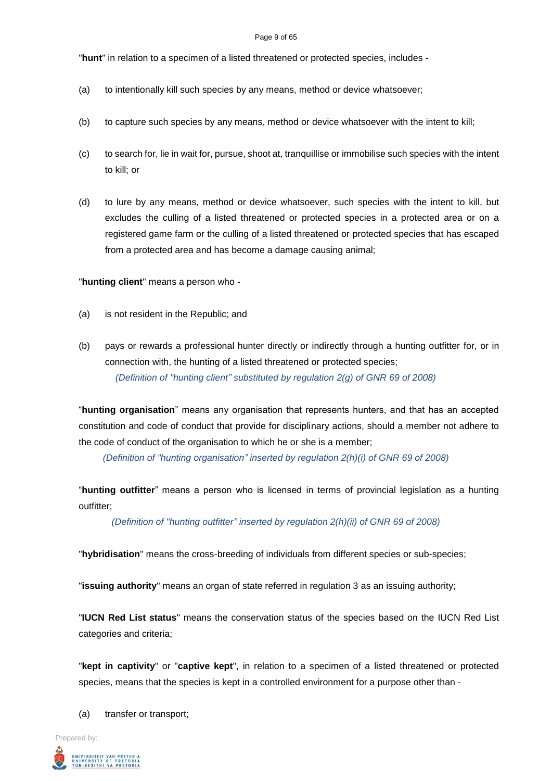#### Page 9 of 65

"**hunt**" in relation to a specimen of a listed threatened or protected species, includes -

- (a) to intentionally kill such species by any means, method or device whatsoever;
- (b) to capture such species by any means, method or device whatsoever with the intent to kill;
- (c) to search for, lie in wait for, pursue, shoot at, tranquillise or immobilise such species with the intent to kill; or
- (d) to lure by any means, method or device whatsoever, such species with the intent to kill, but excludes the culling of a listed threatened or protected species in a protected area or on a registered game farm or the culling of a listed threatened or protected species that has escaped from a protected area and has become a damage causing animal;

"**hunting client**" means a person who -

- (a) is not resident in the Republic; and
- (b) pays or rewards a professional hunter directly or indirectly through a hunting outfitter for, or in connection with, the hunting of a listed threatened or protected species; *(Definition of "hunting client" substituted by regulation 2(g) of GNR 69 of 2008)*

"**hunting organisation**" means any organisation that represents hunters, and that has an accepted constitution and code of conduct that provide for disciplinary actions, should a member not adhere to the code of conduct of the organisation to which he or she is a member;

*(Definition of "hunting organisation" inserted by regulation 2(h)(i) of GNR 69 of 2008)*

"**hunting outfitter**" means a person who is licensed in terms of provincial legislation as a hunting outfitter;

*(Definition of "hunting outfitter" inserted by regulation 2(h)(ii) of GNR 69 of 2008)*

"**hybridisation**" means the cross-breeding of individuals from different species or sub-species;

"**issuing authority**" means an organ of state referred in regulation 3 as an issuing authority;

"**IUCN Red List status**" means the conservation status of the species based on the IUCN Red List categories and criteria;

"**kept in captivity**" or "**captive kept**", in relation to a specimen of a listed threatened or protected species, means that the species is kept in a controlled environment for a purpose other than -

(a) transfer or transport;

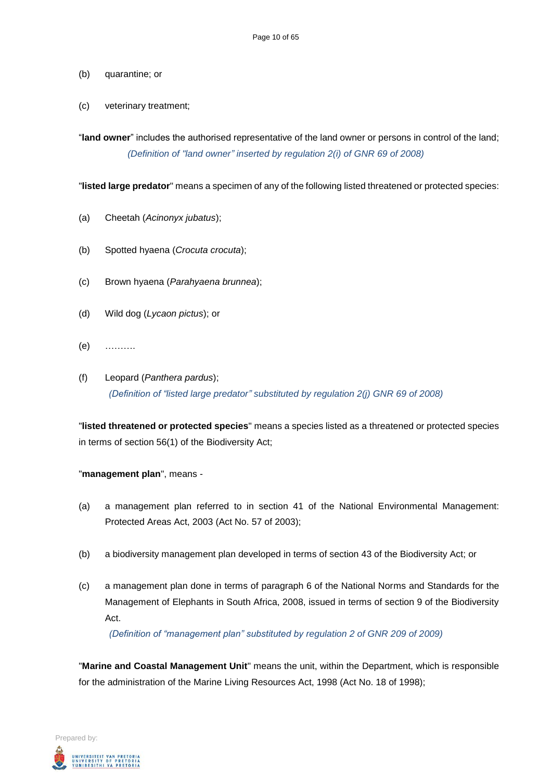#### (b) quarantine; or

(c) veterinary treatment;

"**land owner**" includes the authorised representative of the land owner or persons in control of the land; *(Definition of "land owner" inserted by regulation 2(i) of GNR 69 of 2008)*

"**listed large predator**" means a specimen of any of the following listed threatened or protected species:

- (a) Cheetah (*Acinonyx jubatus*);
- (b) Spotted hyaena (*Crocuta crocuta*);
- (c) Brown hyaena (*Parahyaena brunnea*);
- (d) Wild dog (*Lycaon pictus*); or
- (e) ……….
- (f) Leopard (*Panthera pardus*); *(Definition of "listed large predator" substituted by regulation 2(j) GNR 69 of 2008)*

"**listed threatened or protected species**" means a species listed as a threatened or protected species in terms of section 56(1) of the Biodiversity Act;

"**management plan**", means -

- (a) a management plan referred to in section 41 of the National Environmental Management: Protected Areas Act, 2003 (Act No. 57 of 2003);
- (b) a biodiversity management plan developed in terms of section 43 of the Biodiversity Act; or
- (c) a management plan done in terms of paragraph 6 of the National Norms and Standards for the Management of Elephants in South Africa, 2008, issued in terms of section 9 of the Biodiversity Act.

*(Definition of "management plan" substituted by regulation 2 of GNR 209 of 2009)*

"**Marine and Coastal Management Unit**" means the unit, within the Department, which is responsible for the administration of the Marine Living Resources Act, 1998 (Act No. 18 of 1998);

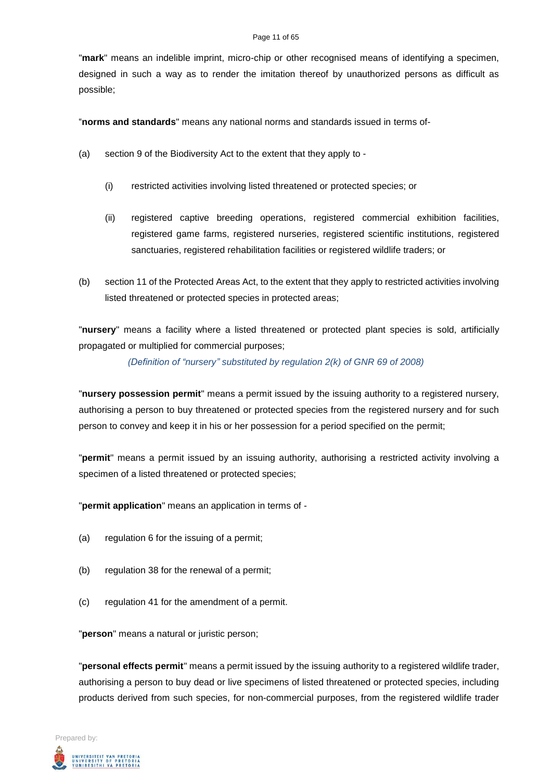#### Page 11 of 65

"**mark**" means an indelible imprint, micro-chip or other recognised means of identifying a specimen, designed in such a way as to render the imitation thereof by unauthorized persons as difficult as possible;

"**norms and standards**" means any national norms and standards issued in terms of-

- (a) section 9 of the Biodiversity Act to the extent that they apply to
	- (i) restricted activities involving listed threatened or protected species; or
	- (ii) registered captive breeding operations, registered commercial exhibition facilities, registered game farms, registered nurseries, registered scientific institutions, registered sanctuaries, registered rehabilitation facilities or registered wildlife traders; or
- (b) section 11 of the Protected Areas Act, to the extent that they apply to restricted activities involving listed threatened or protected species in protected areas;

"**nursery**" means a facility where a listed threatened or protected plant species is sold, artificially propagated or multiplied for commercial purposes;

*(Definition of "nursery" substituted by regulation 2(k) of GNR 69 of 2008)*

"**nursery possession permit**" means a permit issued by the issuing authority to a registered nursery, authorising a person to buy threatened or protected species from the registered nursery and for such person to convey and keep it in his or her possession for a period specified on the permit;

"**permit**" means a permit issued by an issuing authority, authorising a restricted activity involving a specimen of a listed threatened or protected species;

"**permit application**" means an application in terms of -

- (a) regulation 6 for the issuing of a permit;
- (b) regulation 38 for the renewal of a permit;
- (c) regulation 41 for the amendment of a permit.

"**person**" means a natural or juristic person;

"**personal effects permit**" means a permit issued by the issuing authority to a registered wildlife trader, authorising a person to buy dead or live specimens of listed threatened or protected species, including products derived from such species, for non-commercial purposes, from the registered wildlife trader

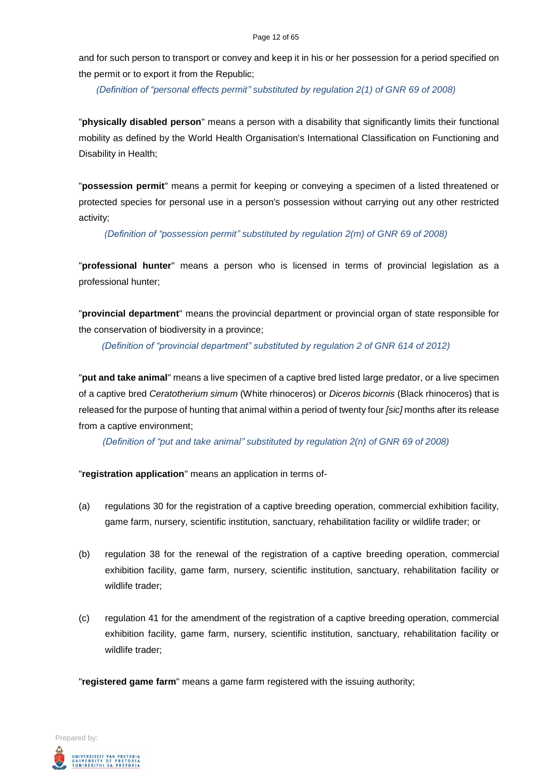and for such person to transport or convey and keep it in his or her possession for a period specified on the permit or to export it from the Republic;

*(Definition of "personal effects permit" substituted by regulation 2(1) of GNR 69 of 2008)*

"**physically disabled person**" means a person with a disability that significantly limits their functional mobility as defined by the World Health Organisation's International Classification on Functioning and Disability in Health;

"**possession permit**" means a permit for keeping or conveying a specimen of a listed threatened or protected species for personal use in a person's possession without carrying out any other restricted activity;

*(Definition of "possession permit" substituted by regulation 2(m) of GNR 69 of 2008)*

"**professional hunter**" means a person who is licensed in terms of provincial legislation as a professional hunter;

"**provincial department**" means the provincial department or provincial organ of state responsible for the conservation of biodiversity in a province;

*(Definition of "provincial department" substituted by regulation 2 of GNR 614 of 2012)*

"**put and take animal**" means a live specimen of a captive bred listed large predator, or a live specimen of a captive bred *Ceratotherium simum* (White rhinoceros) or *Diceros bicornis* (Black rhinoceros) that is released for the purpose of hunting that animal within a period of twenty four *[sic]* months after its release from a captive environment;

*(Definition of "put and take animal" substituted by regulation 2(n) of GNR 69 of 2008)*

"**registration application**" means an application in terms of-

- (a) regulations 30 for the registration of a captive breeding operation, commercial exhibition facility, game farm, nursery, scientific institution, sanctuary, rehabilitation facility or wildlife trader; or
- (b) regulation 38 for the renewal of the registration of a captive breeding operation, commercial exhibition facility, game farm, nursery, scientific institution, sanctuary, rehabilitation facility or wildlife trader;
- (c) regulation 41 for the amendment of the registration of a captive breeding operation, commercial exhibition facility, game farm, nursery, scientific institution, sanctuary, rehabilitation facility or wildlife trader;

"**registered game farm**" means a game farm registered with the issuing authority;

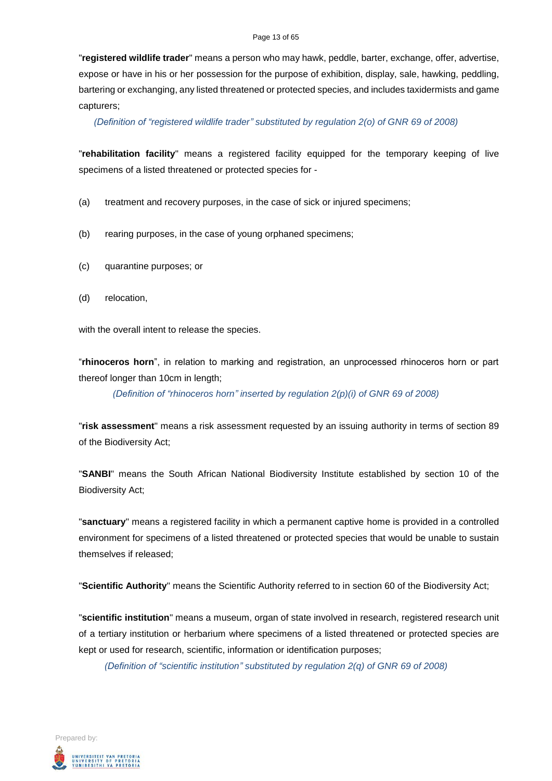#### Page 13 of 65

"**registered wildlife trader**" means a person who may hawk, peddle, barter, exchange, offer, advertise, expose or have in his or her possession for the purpose of exhibition, display, sale, hawking, peddling, bartering or exchanging, any listed threatened or protected species, and includes taxidermists and game capturers;

*(Definition of "registered wildlife trader" substituted by regulation 2(o) of GNR 69 of 2008)*

"**rehabilitation facility**" means a registered facility equipped for the temporary keeping of live specimens of a listed threatened or protected species for -

- (a) treatment and recovery purposes, in the case of sick or injured specimens;
- (b) rearing purposes, in the case of young orphaned specimens;
- (c) quarantine purposes; or
- (d) relocation,

with the overall intent to release the species.

"**rhinoceros horn**", in relation to marking and registration, an unprocessed rhinoceros horn or part thereof longer than 10cm in length;

*(Definition of "rhinoceros horn" inserted by regulation 2(p)(i) of GNR 69 of 2008)*

"**risk assessment**" means a risk assessment requested by an issuing authority in terms of section 89 of the Biodiversity Act;

"**SANBI**" means the South African National Biodiversity Institute established by section 10 of the Biodiversity Act;

"**sanctuary**" means a registered facility in which a permanent captive home is provided in a controlled environment for specimens of a listed threatened or protected species that would be unable to sustain themselves if released;

"**Scientific Authority**" means the Scientific Authority referred to in section 60 of the Biodiversity Act;

"**scientific institution**" means a museum, organ of state involved in research, registered research unit of a tertiary institution or herbarium where specimens of a listed threatened or protected species are kept or used for research, scientific, information or identification purposes;

*(Definition of "scientific institution" substituted by regulation 2(q) of GNR 69 of 2008)*

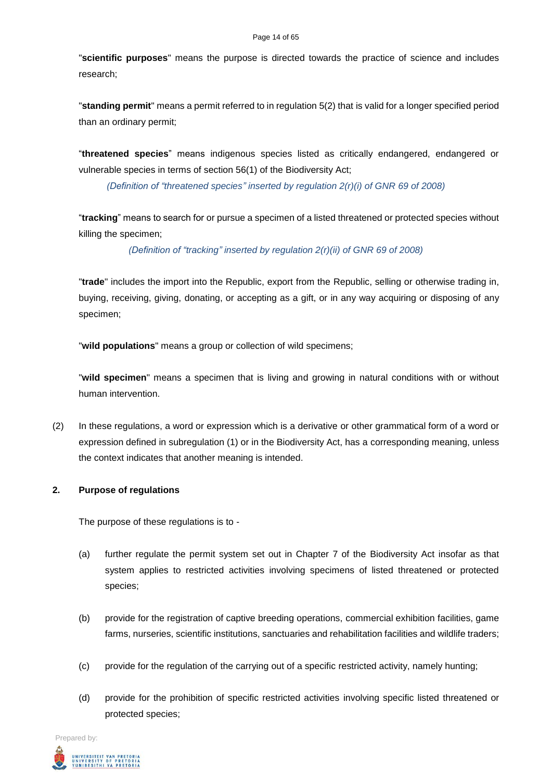#### Page 14 of 65

"**scientific purposes**" means the purpose is directed towards the practice of science and includes research;

"**standing permit**" means a permit referred to in regulation 5(2) that is valid for a longer specified period than an ordinary permit;

"**threatened species**" means indigenous species listed as critically endangered, endangered or vulnerable species in terms of section 56(1) of the Biodiversity Act;

*(Definition of "threatened species" inserted by regulation 2(r)(i) of GNR 69 of 2008)*

"**tracking**" means to search for or pursue a specimen of a listed threatened or protected species without killing the specimen;

*(Definition of "tracking" inserted by regulation 2(r)(ii) of GNR 69 of 2008)*

"**trade**" includes the import into the Republic, export from the Republic, selling or otherwise trading in, buying, receiving, giving, donating, or accepting as a gift, or in any way acquiring or disposing of any specimen;

"**wild populations**" means a group or collection of wild specimens;

"**wild specimen**" means a specimen that is living and growing in natural conditions with or without human intervention.

(2) In these regulations, a word or expression which is a derivative or other grammatical form of a word or expression defined in subregulation (1) or in the Biodiversity Act, has a corresponding meaning, unless the context indicates that another meaning is intended.

# **2. Purpose of regulations**

The purpose of these regulations is to -

- (a) further regulate the permit system set out in Chapter 7 of the Biodiversity Act insofar as that system applies to restricted activities involving specimens of listed threatened or protected species;
- (b) provide for the registration of captive breeding operations, commercial exhibition facilities, game farms, nurseries, scientific institutions, sanctuaries and rehabilitation facilities and wildlife traders;
- (c) provide for the regulation of the carrying out of a specific restricted activity, namely hunting;
- (d) provide for the prohibition of specific restricted activities involving specific listed threatened or protected species;

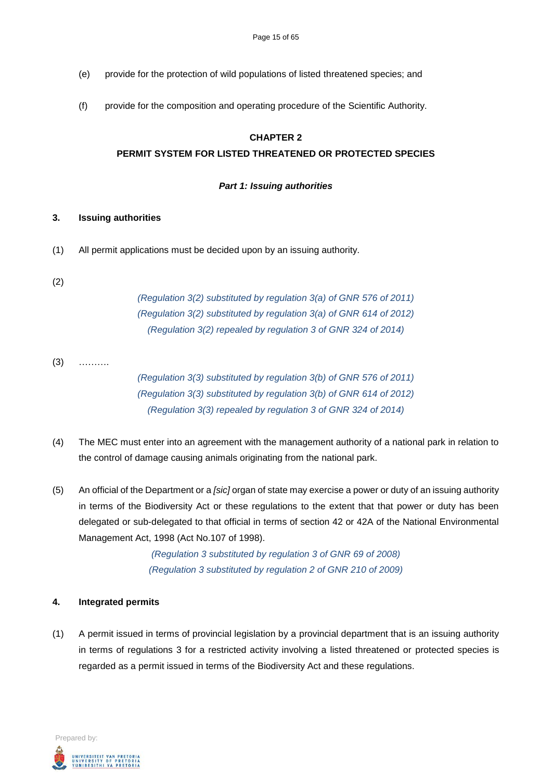- (e) provide for the protection of wild populations of listed threatened species; and
- (f) provide for the composition and operating procedure of the Scientific Authority.

#### **CHAPTER 2**

#### **PERMIT SYSTEM FOR LISTED THREATENED OR PROTECTED SPECIES**

#### *Part 1: Issuing authorities*

#### **3. Issuing authorities**

- (1) All permit applications must be decided upon by an issuing authority.
- (2)

*(Regulation 3(2) substituted by regulation 3(a) of GNR 576 of 2011) (Regulation 3(2) substituted by regulation 3(a) of GNR 614 of 2012) (Regulation 3(2) repealed by regulation 3 of GNR 324 of 2014)*

 $(3)$  ………

*(Regulation 3(3) substituted by regulation 3(b) of GNR 576 of 2011) (Regulation 3(3) substituted by regulation 3(b) of GNR 614 of 2012) (Regulation 3(3) repealed by regulation 3 of GNR 324 of 2014)*

- (4) The MEC must enter into an agreement with the management authority of a national park in relation to the control of damage causing animals originating from the national park.
- (5) An official of the Department or a *[sic]* organ of state may exercise a power or duty of an issuing authority in terms of the Biodiversity Act or these regulations to the extent that that power or duty has been delegated or sub-delegated to that official in terms of section 42 or 42A of the National Environmental Management Act, 1998 (Act No.107 of 1998).

*(Regulation 3 substituted by regulation 3 of GNR 69 of 2008) (Regulation 3 substituted by regulation 2 of GNR 210 of 2009)*

#### **4. Integrated permits**

(1) A permit issued in terms of provincial legislation by a provincial department that is an issuing authority in terms of regulations 3 for a restricted activity involving a listed threatened or protected species is regarded as a permit issued in terms of the Biodiversity Act and these regulations.

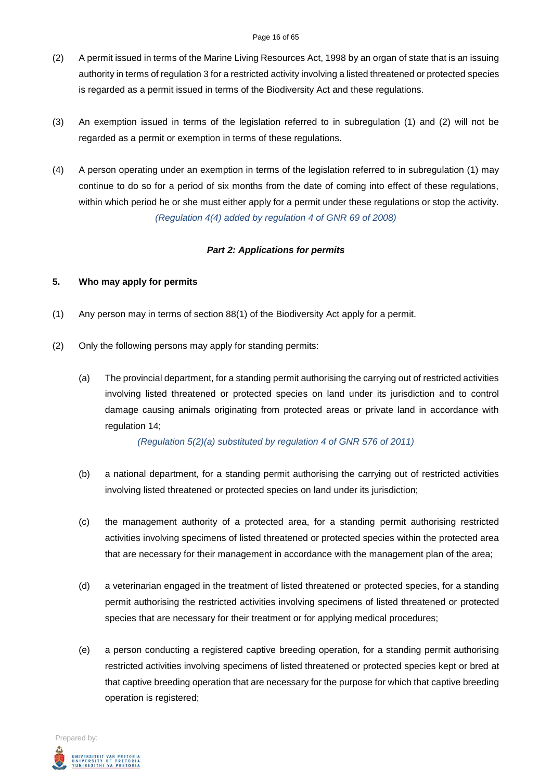- (2) A permit issued in terms of the Marine Living Resources Act, 1998 by an organ of state that is an issuing authority in terms of regulation 3 for a restricted activity involving a listed threatened or protected species is regarded as a permit issued in terms of the Biodiversity Act and these regulations.
- (3) An exemption issued in terms of the legislation referred to in subregulation (1) and (2) will not be regarded as a permit or exemption in terms of these regulations.
- (4) A person operating under an exemption in terms of the legislation referred to in subregulation (1) may continue to do so for a period of six months from the date of coming into effect of these regulations, within which period he or she must either apply for a permit under these regulations or stop the activity. *(Regulation 4(4) added by regulation 4 of GNR 69 of 2008)*

### *Part 2: Applications for permits*

### **5. Who may apply for permits**

- (1) Any person may in terms of section 88(1) of the Biodiversity Act apply for a permit.
- (2) Only the following persons may apply for standing permits:
	- (a) The provincial department, for a standing permit authorising the carrying out of restricted activities involving listed threatened or protected species on land under its jurisdiction and to control damage causing animals originating from protected areas or private land in accordance with regulation 14;

*(Regulation 5(2)(a) substituted by regulation 4 of GNR 576 of 2011)*

- (b) a national department, for a standing permit authorising the carrying out of restricted activities involving listed threatened or protected species on land under its jurisdiction;
- (c) the management authority of a protected area, for a standing permit authorising restricted activities involving specimens of listed threatened or protected species within the protected area that are necessary for their management in accordance with the management plan of the area;
- (d) a veterinarian engaged in the treatment of listed threatened or protected species, for a standing permit authorising the restricted activities involving specimens of listed threatened or protected species that are necessary for their treatment or for applying medical procedures;
- (e) a person conducting a registered captive breeding operation, for a standing permit authorising restricted activities involving specimens of listed threatened or protected species kept or bred at that captive breeding operation that are necessary for the purpose for which that captive breeding operation is registered;

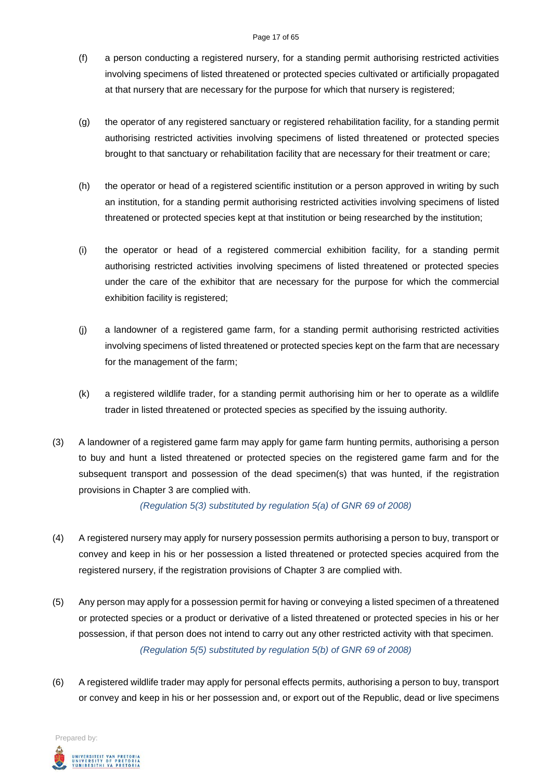#### Page 17 of 65

- (f) a person conducting a registered nursery, for a standing permit authorising restricted activities involving specimens of listed threatened or protected species cultivated or artificially propagated at that nursery that are necessary for the purpose for which that nursery is registered;
- (g) the operator of any registered sanctuary or registered rehabilitation facility, for a standing permit authorising restricted activities involving specimens of listed threatened or protected species brought to that sanctuary or rehabilitation facility that are necessary for their treatment or care;
- (h) the operator or head of a registered scientific institution or a person approved in writing by such an institution, for a standing permit authorising restricted activities involving specimens of listed threatened or protected species kept at that institution or being researched by the institution;
- (i) the operator or head of a registered commercial exhibition facility, for a standing permit authorising restricted activities involving specimens of listed threatened or protected species under the care of the exhibitor that are necessary for the purpose for which the commercial exhibition facility is registered;
- (j) a landowner of a registered game farm, for a standing permit authorising restricted activities involving specimens of listed threatened or protected species kept on the farm that are necessary for the management of the farm;
- (k) a registered wildlife trader, for a standing permit authorising him or her to operate as a wildlife trader in listed threatened or protected species as specified by the issuing authority.
- (3) A landowner of a registered game farm may apply for game farm hunting permits, authorising a person to buy and hunt a listed threatened or protected species on the registered game farm and for the subsequent transport and possession of the dead specimen(s) that was hunted, if the registration provisions in Chapter 3 are complied with.

*(Regulation 5(3) substituted by regulation 5(a) of GNR 69 of 2008)*

- (4) A registered nursery may apply for nursery possession permits authorising a person to buy, transport or convey and keep in his or her possession a listed threatened or protected species acquired from the registered nursery, if the registration provisions of Chapter 3 are complied with.
- (5) Any person may apply for a possession permit for having or conveying a listed specimen of a threatened or protected species or a product or derivative of a listed threatened or protected species in his or her possession, if that person does not intend to carry out any other restricted activity with that specimen. *(Regulation 5(5) substituted by regulation 5(b) of GNR 69 of 2008)*
- (6) A registered wildlife trader may apply for personal effects permits, authorising a person to buy, transport or convey and keep in his or her possession and, or export out of the Republic, dead or live specimens

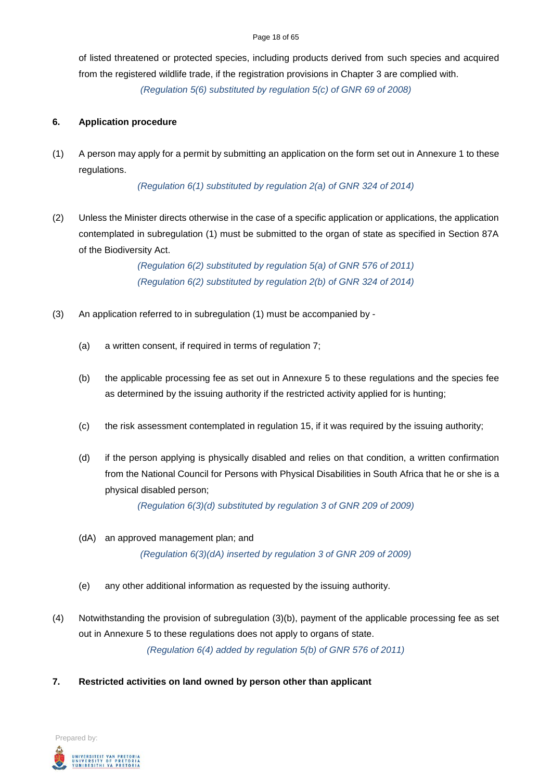#### Page 18 of 65

of listed threatened or protected species, including products derived from such species and acquired from the registered wildlife trade, if the registration provisions in Chapter 3 are complied with. *(Regulation 5(6) substituted by regulation 5(c) of GNR 69 of 2008)*

#### **6. Application procedure**

(1) A person may apply for a permit by submitting an application on the form set out in Annexure 1 to these regulations.

*(Regulation 6(1) substituted by regulation 2(a) of GNR 324 of 2014)*

(2) Unless the Minister directs otherwise in the case of a specific application or applications, the application contemplated in subregulation (1) must be submitted to the organ of state as specified in Section 87A of the Biodiversity Act.

> *(Regulation 6(2) substituted by regulation 5(a) of GNR 576 of 2011) (Regulation 6(2) substituted by regulation 2(b) of GNR 324 of 2014)*

- (3) An application referred to in subregulation (1) must be accompanied by
	- (a) a written consent, if required in terms of regulation 7;
	- (b) the applicable processing fee as set out in Annexure 5 to these regulations and the species fee as determined by the issuing authority if the restricted activity applied for is hunting;
	- (c) the risk assessment contemplated in regulation 15, if it was required by the issuing authority;
	- (d) if the person applying is physically disabled and relies on that condition, a written confirmation from the National Council for Persons with Physical Disabilities in South Africa that he or she is a physical disabled person;

*(Regulation 6(3)(d) substituted by regulation 3 of GNR 209 of 2009)*

- (dA) an approved management plan; and *(Regulation 6(3)(dA) inserted by regulation 3 of GNR 209 of 2009)*
- (e) any other additional information as requested by the issuing authority.
- (4) Notwithstanding the provision of subregulation (3)(b), payment of the applicable processing fee as set out in Annexure 5 to these regulations does not apply to organs of state. *(Regulation 6(4) added by regulation 5(b) of GNR 576 of 2011)*
- **7. Restricted activities on land owned by person other than applicant**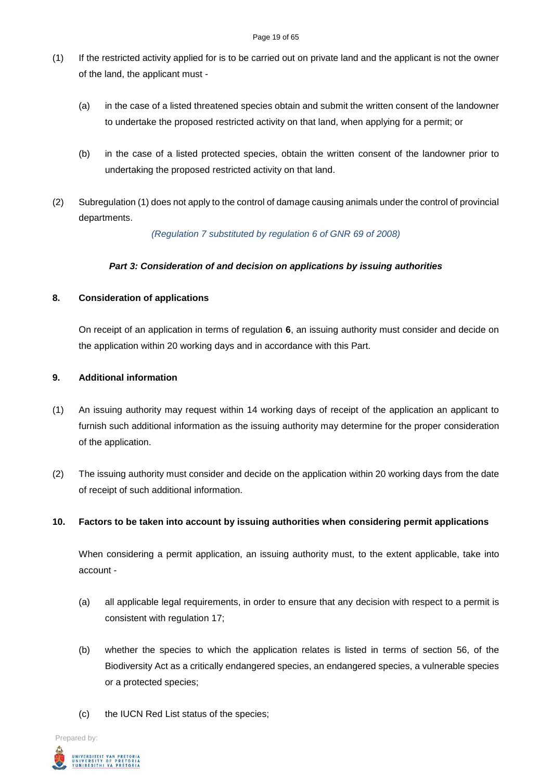- (1) If the restricted activity applied for is to be carried out on private land and the applicant is not the owner of the land, the applicant must -
	- (a) in the case of a listed threatened species obtain and submit the written consent of the landowner to undertake the proposed restricted activity on that land, when applying for a permit; or
	- (b) in the case of a listed protected species, obtain the written consent of the landowner prior to undertaking the proposed restricted activity on that land.
- (2) Subregulation (1) does not apply to the control of damage causing animals under the control of provincial departments.

*(Regulation 7 substituted by regulation 6 of GNR 69 of 2008)*

# *Part 3: Consideration of and decision on applications by issuing authorities*

### **8. Consideration of applications**

On receipt of an application in terms of regulation **6**, an issuing authority must consider and decide on the application within 20 working days and in accordance with this Part.

### **9. Additional information**

- (1) An issuing authority may request within 14 working days of receipt of the application an applicant to furnish such additional information as the issuing authority may determine for the proper consideration of the application.
- (2) The issuing authority must consider and decide on the application within 20 working days from the date of receipt of such additional information.

#### **10. Factors to be taken into account by issuing authorities when considering permit applications**

When considering a permit application, an issuing authority must, to the extent applicable, take into account -

- (a) all applicable legal requirements, in order to ensure that any decision with respect to a permit is consistent with regulation 17;
- (b) whether the species to which the application relates is listed in terms of section 56, of the Biodiversity Act as a critically endangered species, an endangered species, a vulnerable species or a protected species;
- (c) the IUCN Red List status of the species;

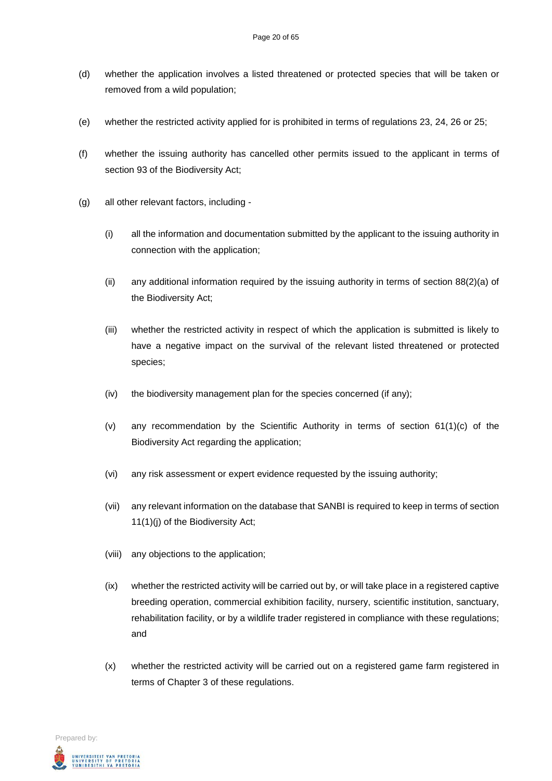- (d) whether the application involves a listed threatened or protected species that will be taken or removed from a wild population;
- (e) whether the restricted activity applied for is prohibited in terms of regulations 23, 24, 26 or 25;
- (f) whether the issuing authority has cancelled other permits issued to the applicant in terms of section 93 of the Biodiversity Act;
- (g) all other relevant factors, including
	- (i) all the information and documentation submitted by the applicant to the issuing authority in connection with the application;
	- (ii) any additional information required by the issuing authority in terms of section 88(2)(a) of the Biodiversity Act;
	- (iii) whether the restricted activity in respect of which the application is submitted is likely to have a negative impact on the survival of the relevant listed threatened or protected species;
	- (iv) the biodiversity management plan for the species concerned (if any);
	- (v) any recommendation by the Scientific Authority in terms of section 61(1)(c) of the Biodiversity Act regarding the application;
	- (vi) any risk assessment or expert evidence requested by the issuing authority;
	- (vii) any relevant information on the database that SANBI is required to keep in terms of section 11(1)(j) of the Biodiversity Act;
	- (viii) any objections to the application;
	- (ix) whether the restricted activity will be carried out by, or will take place in a registered captive breeding operation, commercial exhibition facility, nursery, scientific institution, sanctuary, rehabilitation facility, or by a wildlife trader registered in compliance with these regulations; and
	- (x) whether the restricted activity will be carried out on a registered game farm registered in terms of Chapter 3 of these regulations.

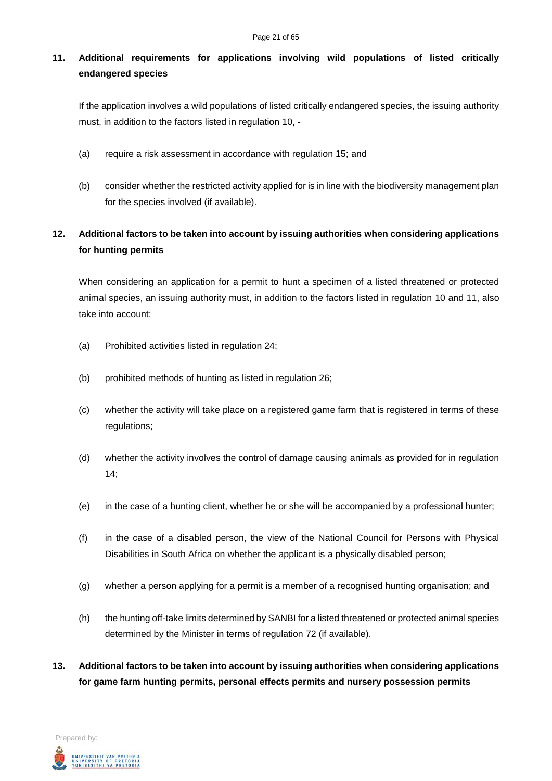# **11. Additional requirements for applications involving wild populations of listed critically endangered species**

If the application involves a wild populations of listed critically endangered species, the issuing authority must, in addition to the factors listed in regulation 10, -

- (a) require a risk assessment in accordance with regulation 15; and
- (b) consider whether the restricted activity applied for is in line with the biodiversity management plan for the species involved (if available).

# **12. Additional factors to be taken into account by issuing authorities when considering applications for hunting permits**

When considering an application for a permit to hunt a specimen of a listed threatened or protected animal species, an issuing authority must, in addition to the factors listed in regulation 10 and 11, also take into account:

- (a) Prohibited activities listed in regulation 24;
- (b) prohibited methods of hunting as listed in regulation 26;
- (c) whether the activity will take place on a registered game farm that is registered in terms of these regulations;
- (d) whether the activity involves the control of damage causing animals as provided for in regulation  $14$
- (e) in the case of a hunting client, whether he or she will be accompanied by a professional hunter;
- (f) in the case of a disabled person, the view of the National Council for Persons with Physical Disabilities in South Africa on whether the applicant is a physically disabled person;
- (g) whether a person applying for a permit is a member of a recognised hunting organisation; and
- (h) the hunting off-take limits determined by SANBI for a listed threatened or protected animal species determined by the Minister in terms of regulation 72 (if available).
- **13. Additional factors to be taken into account by issuing authorities when considering applications for game farm hunting permits, personal effects permits and nursery possession permits**

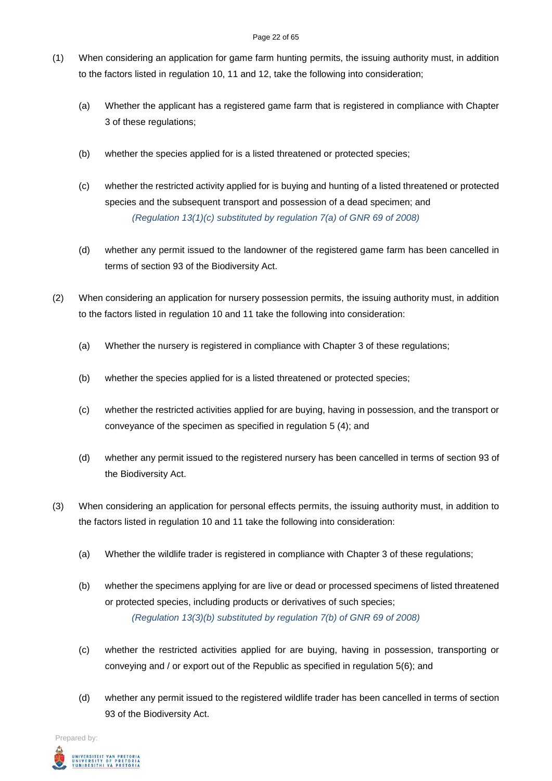- (1) When considering an application for game farm hunting permits, the issuing authority must, in addition to the factors listed in regulation 10, 11 and 12, take the following into consideration;
	- (a) Whether the applicant has a registered game farm that is registered in compliance with Chapter 3 of these regulations;
	- (b) whether the species applied for is a listed threatened or protected species;
	- (c) whether the restricted activity applied for is buying and hunting of a listed threatened or protected species and the subsequent transport and possession of a dead specimen; and *(Regulation 13(1)(c) substituted by regulation 7(a) of GNR 69 of 2008)*
	- (d) whether any permit issued to the landowner of the registered game farm has been cancelled in terms of section 93 of the Biodiversity Act.
- (2) When considering an application for nursery possession permits, the issuing authority must, in addition to the factors listed in regulation 10 and 11 take the following into consideration:
	- (a) Whether the nursery is registered in compliance with Chapter 3 of these regulations;
	- (b) whether the species applied for is a listed threatened or protected species;
	- (c) whether the restricted activities applied for are buying, having in possession, and the transport or conveyance of the specimen as specified in regulation 5 (4); and
	- (d) whether any permit issued to the registered nursery has been cancelled in terms of section 93 of the Biodiversity Act.
- (3) When considering an application for personal effects permits, the issuing authority must, in addition to the factors listed in regulation 10 and 11 take the following into consideration:
	- (a) Whether the wildlife trader is registered in compliance with Chapter 3 of these regulations;
	- (b) whether the specimens applying for are live or dead or processed specimens of listed threatened or protected species, including products or derivatives of such species; *(Regulation 13(3)(b) substituted by regulation 7(b) of GNR 69 of 2008)*
	- (c) whether the restricted activities applied for are buying, having in possession, transporting or conveying and / or export out of the Republic as specified in regulation 5(6); and
	- (d) whether any permit issued to the registered wildlife trader has been cancelled in terms of section 93 of the Biodiversity Act.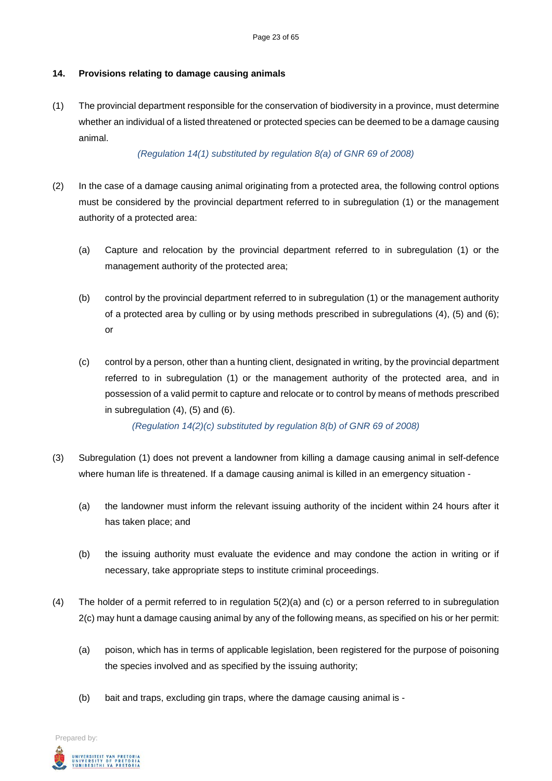## **14. Provisions relating to damage causing animals**

(1) The provincial department responsible for the conservation of biodiversity in a province, must determine whether an individual of a listed threatened or protected species can be deemed to be a damage causing animal.

### *(Regulation 14(1) substituted by regulation 8(a) of GNR 69 of 2008)*

- (2) In the case of a damage causing animal originating from a protected area, the following control options must be considered by the provincial department referred to in subregulation (1) or the management authority of a protected area:
	- (a) Capture and relocation by the provincial department referred to in subregulation (1) or the management authority of the protected area;
	- (b) control by the provincial department referred to in subregulation (1) or the management authority of a protected area by culling or by using methods prescribed in subregulations (4), (5) and (6); or
	- (c) control by a person, other than a hunting client, designated in writing, by the provincial department referred to in subregulation (1) or the management authority of the protected area, and in possession of a valid permit to capture and relocate or to control by means of methods prescribed in subregulation (4), (5) and (6).

*(Regulation 14(2)(c) substituted by regulation 8(b) of GNR 69 of 2008)*

- (3) Subregulation (1) does not prevent a landowner from killing a damage causing animal in self-defence where human life is threatened. If a damage causing animal is killed in an emergency situation -
	- (a) the landowner must inform the relevant issuing authority of the incident within 24 hours after it has taken place; and
	- (b) the issuing authority must evaluate the evidence and may condone the action in writing or if necessary, take appropriate steps to institute criminal proceedings.
- (4) The holder of a permit referred to in regulation 5(2)(a) and (c) or a person referred to in subregulation 2(c) may hunt a damage causing animal by any of the following means, as specified on his or her permit:
	- (a) poison, which has in terms of applicable legislation, been registered for the purpose of poisoning the species involved and as specified by the issuing authority;
	- (b) bait and traps, excluding gin traps, where the damage causing animal is -

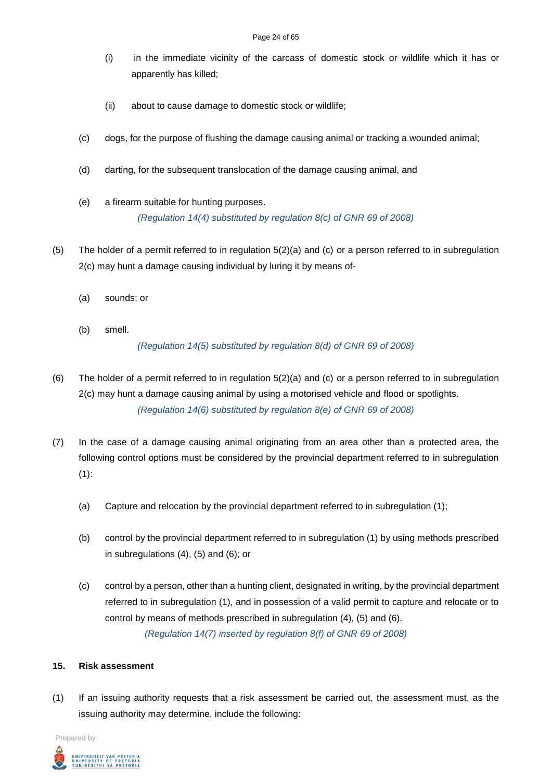- (i) in the immediate vicinity of the carcass of domestic stock or wildlife which it has or apparently has killed;
- (ii) about to cause damage to domestic stock or wildlife;
- (c) dogs, for the purpose of flushing the damage causing animal or tracking a wounded animal;
- (d) darting, for the subsequent translocation of the damage causing animal, and
- (e) a firearm suitable for hunting purposes. *(Regulation 14(4) substituted by regulation 8(c) of GNR 69 of 2008)*
- (5) The holder of a permit referred to in regulation 5(2)(a) and (c) or a person referred to in subregulation 2(c) may hunt a damage causing individual by luring it by means of-
	- (a) sounds; or
	- (b) smell.

*(Regulation 14(5) substituted by regulation 8(d) of GNR 69 of 2008)*

- (6) The holder of a permit referred to in regulation 5(2)(a) and (c) or a person referred to in subregulation 2(c) may hunt a damage causing animal by using a motorised vehicle and flood or spotlights. *(Regulation 14(6) substituted by regulation 8(e) of GNR 69 of 2008)*
- (7) In the case of a damage causing animal originating from an area other than a protected area, the following control options must be considered by the provincial department referred to in subregulation (1):
	- (a) Capture and relocation by the provincial department referred to in subregulation (1);
	- (b) control by the provincial department referred to in subregulation (1) by using methods prescribed in subregulations (4), (5) and (6); or
	- (c) control by a person, other than a hunting client, designated in writing, by the provincial department referred to in subregulation (1), and in possession of a valid permit to capture and relocate or to control by means of methods prescribed in subregulation (4), (5) and (6). *(Regulation 14(7) inserted by regulation 8(f) of GNR 69 of 2008)*

#### **15. Risk assessment**

(1) If an issuing authority requests that a risk assessment be carried out, the assessment must, as the issuing authority may determine, include the following: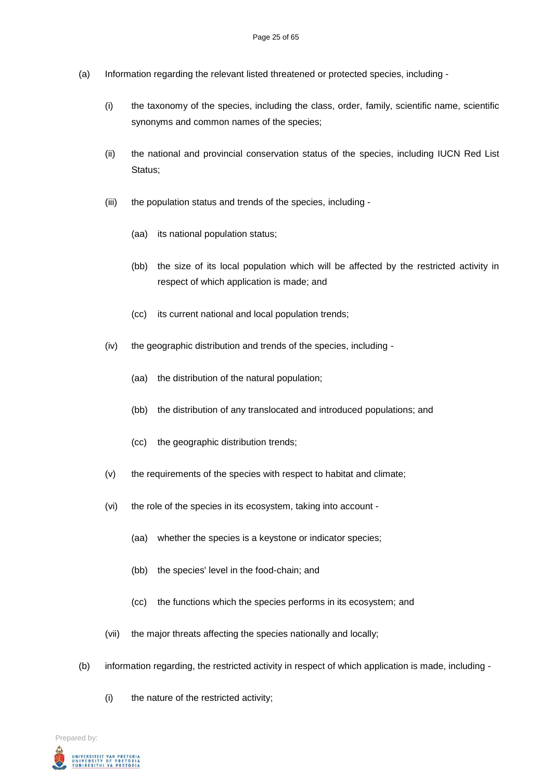- (a) Information regarding the relevant listed threatened or protected species, including
	- (i) the taxonomy of the species, including the class, order, family, scientific name, scientific synonyms and common names of the species;
	- (ii) the national and provincial conservation status of the species, including IUCN Red List Status:
	- (iii) the population status and trends of the species, including
		- (aa) its national population status;
		- (bb) the size of its local population which will be affected by the restricted activity in respect of which application is made; and
		- (cc) its current national and local population trends;
	- (iv) the geographic distribution and trends of the species, including
		- (aa) the distribution of the natural population;
		- (bb) the distribution of any translocated and introduced populations; and
		- (cc) the geographic distribution trends;
	- (v) the requirements of the species with respect to habitat and climate;
	- (vi) the role of the species in its ecosystem, taking into account
		- (aa) whether the species is a keystone or indicator species;
		- (bb) the species' level in the food-chain; and
		- (cc) the functions which the species performs in its ecosystem; and
	- (vii) the major threats affecting the species nationally and locally;
- (b) information regarding, the restricted activity in respect of which application is made, including
	- (i) the nature of the restricted activity;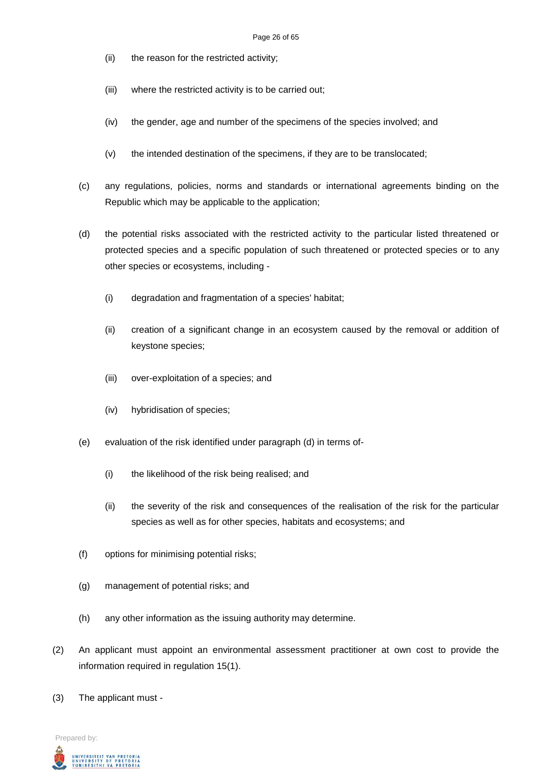- (ii) the reason for the restricted activity;
- (iii) where the restricted activity is to be carried out;
- (iv) the gender, age and number of the specimens of the species involved; and
- (v) the intended destination of the specimens, if they are to be translocated;
- (c) any regulations, policies, norms and standards or international agreements binding on the Republic which may be applicable to the application;
- (d) the potential risks associated with the restricted activity to the particular listed threatened or protected species and a specific population of such threatened or protected species or to any other species or ecosystems, including -
	- (i) degradation and fragmentation of a species' habitat;
	- (ii) creation of a significant change in an ecosystem caused by the removal or addition of keystone species;
	- (iii) over-exploitation of a species; and
	- (iv) hybridisation of species;
- (e) evaluation of the risk identified under paragraph (d) in terms of-
	- (i) the likelihood of the risk being realised; and
	- (ii) the severity of the risk and consequences of the realisation of the risk for the particular species as well as for other species, habitats and ecosystems; and
- (f) options for minimising potential risks;
- (g) management of potential risks; and
- (h) any other information as the issuing authority may determine.
- (2) An applicant must appoint an environmental assessment practitioner at own cost to provide the information required in regulation 15(1).
- (3) The applicant must -

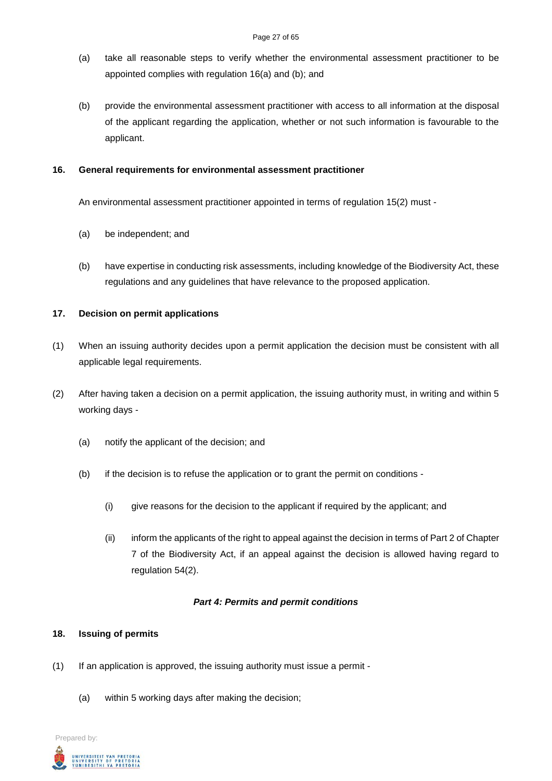- (a) take all reasonable steps to verify whether the environmental assessment practitioner to be appointed complies with regulation 16(a) and (b); and
- (b) provide the environmental assessment practitioner with access to all information at the disposal of the applicant regarding the application, whether or not such information is favourable to the applicant.

### **16. General requirements for environmental assessment practitioner**

An environmental assessment practitioner appointed in terms of regulation 15(2) must -

- (a) be independent; and
- (b) have expertise in conducting risk assessments, including knowledge of the Biodiversity Act, these regulations and any guidelines that have relevance to the proposed application.

### **17. Decision on permit applications**

- (1) When an issuing authority decides upon a permit application the decision must be consistent with all applicable legal requirements.
- (2) After having taken a decision on a permit application, the issuing authority must, in writing and within 5 working days -
	- (a) notify the applicant of the decision; and
	- (b) if the decision is to refuse the application or to grant the permit on conditions
		- (i) give reasons for the decision to the applicant if required by the applicant; and
		- (ii) inform the applicants of the right to appeal against the decision in terms of Part 2 of Chapter 7 of the Biodiversity Act, if an appeal against the decision is allowed having regard to regulation 54(2).

#### *Part 4: Permits and permit conditions*

#### **18. Issuing of permits**

- (1) If an application is approved, the issuing authority must issue a permit
	- (a) within 5 working days after making the decision;

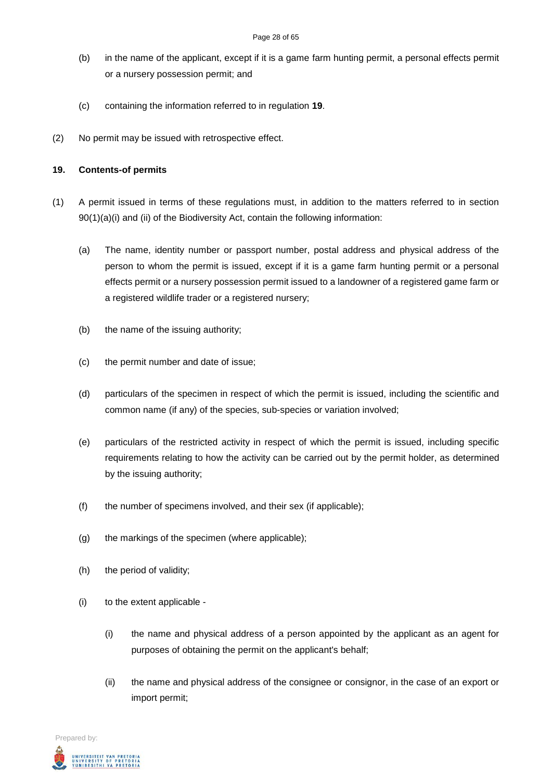- (b) in the name of the applicant, except if it is a game farm hunting permit, a personal effects permit or a nursery possession permit; and
- (c) containing the information referred to in regulation **19**.
- (2) No permit may be issued with retrospective effect.

#### **19. Contents-of permits**

- (1) A permit issued in terms of these regulations must, in addition to the matters referred to in section 90(1)(a)(i) and (ii) of the Biodiversity Act, contain the following information:
	- (a) The name, identity number or passport number, postal address and physical address of the person to whom the permit is issued, except if it is a game farm hunting permit or a personal effects permit or a nursery possession permit issued to a landowner of a registered game farm or a registered wildlife trader or a registered nursery;
	- (b) the name of the issuing authority;
	- (c) the permit number and date of issue;
	- (d) particulars of the specimen in respect of which the permit is issued, including the scientific and common name (if any) of the species, sub-species or variation involved;
	- (e) particulars of the restricted activity in respect of which the permit is issued, including specific requirements relating to how the activity can be carried out by the permit holder, as determined by the issuing authority;
	- (f) the number of specimens involved, and their sex (if applicable);
	- (g) the markings of the specimen (where applicable);
	- (h) the period of validity;
	- (i) to the extent applicable
		- (i) the name and physical address of a person appointed by the applicant as an agent for purposes of obtaining the permit on the applicant's behalf;
		- (ii) the name and physical address of the consignee or consignor, in the case of an export or import permit;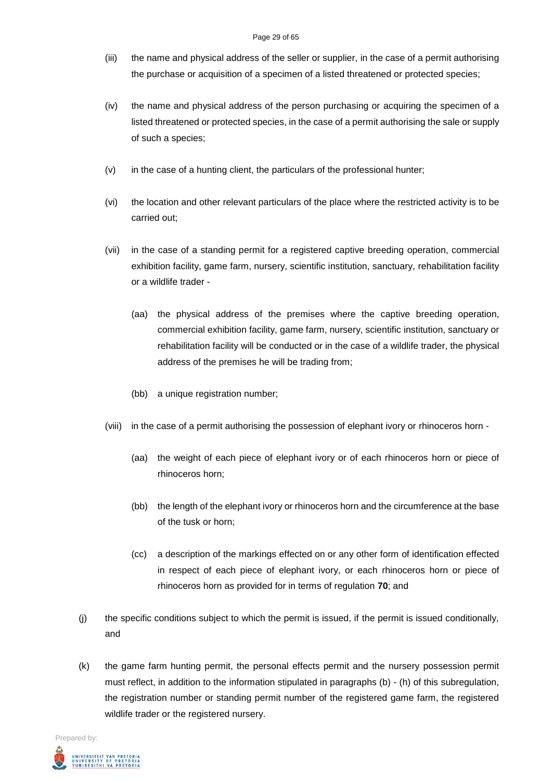- (iii) the name and physical address of the seller or supplier, in the case of a permit authorising the purchase or acquisition of a specimen of a listed threatened or protected species;
- (iv) the name and physical address of the person purchasing or acquiring the specimen of a listed threatened or protected species, in the case of a permit authorising the sale or supply of such a species;
- (v) in the case of a hunting client, the particulars of the professional hunter;
- (vi) the location and other relevant particulars of the place where the restricted activity is to be carried out;
- (vii) in the case of a standing permit for a registered captive breeding operation, commercial exhibition facility, game farm, nursery, scientific institution, sanctuary, rehabilitation facility or a wildlife trader -
	- (aa) the physical address of the premises where the captive breeding operation, commercial exhibition facility, game farm, nursery, scientific institution, sanctuary or rehabilitation facility will be conducted or in the case of a wildlife trader, the physical address of the premises he will be trading from;
	- (bb) a unique registration number;
- (viii) in the case of a permit authorising the possession of elephant ivory or rhinoceros horn
	- (aa) the weight of each piece of elephant ivory or of each rhinoceros horn or piece of rhinoceros horn;
	- (bb) the length of the elephant ivory or rhinoceros horn and the circumference at the base of the tusk or horn;
	- (cc) a description of the markings effected on or any other form of identification effected in respect of each piece of elephant ivory, or each rhinoceros horn or piece of rhinoceros horn as provided for in terms of regulation **70**; and
- (j) the specific conditions subject to which the permit is issued, if the permit is issued conditionally, and
- (k) the game farm hunting permit, the personal effects permit and the nursery possession permit must reflect, in addition to the information stipulated in paragraphs (b) - (h) of this subregulation, the registration number or standing permit number of the registered game farm, the registered wildlife trader or the registered nursery.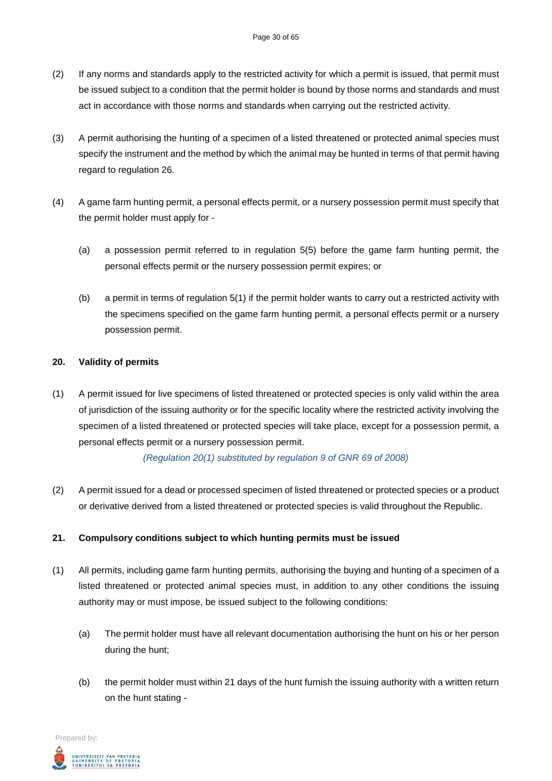- (2) If any norms and standards apply to the restricted activity for which a permit is issued, that permit must be issued subject to a condition that the permit holder is bound by those norms and standards and must act in accordance with those norms and standards when carrying out the restricted activity.
- (3) A permit authorising the hunting of a specimen of a listed threatened or protected animal species must specify the instrument and the method by which the animal may be hunted in terms of that permit having regard to regulation 26.
- (4) A game farm hunting permit, a personal effects permit, or a nursery possession permit must specify that the permit holder must apply for -
	- (a) a possession permit referred to in regulation 5(5) before the game farm hunting permit, the personal effects permit or the nursery possession permit expires; or
	- (b) a permit in terms of regulation 5(1) if the permit holder wants to carry out a restricted activity with the specimens specified on the game farm hunting permit, a personal effects permit or a nursery possession permit.

# **20. Validity of permits**

(1) A permit issued for live specimens of listed threatened or protected species is only valid within the area of jurisdiction of the issuing authority or for the specific locality where the restricted activity involving the specimen of a listed threatened or protected species will take place, except for a possession permit, a personal effects permit or a nursery possession permit.

*(Regulation 20(1) substituted by regulation 9 of GNR 69 of 2008)*

(2) A permit issued for a dead or processed specimen of listed threatened or protected species or a product or derivative derived from a listed threatened or protected species is valid throughout the Republic.

# **21. Compulsory conditions subject to which hunting permits must be issued**

- (1) All permits, including game farm hunting permits, authorising the buying and hunting of a specimen of a listed threatened or protected animal species must, in addition to any other conditions the issuing authority may or must impose, be issued subject to the following conditions:
	- (a) The permit holder must have all relevant documentation authorising the hunt on his or her person during the hunt;
	- (b) the permit holder must within 21 days of the hunt furnish the issuing authority with a written return on the hunt stating -

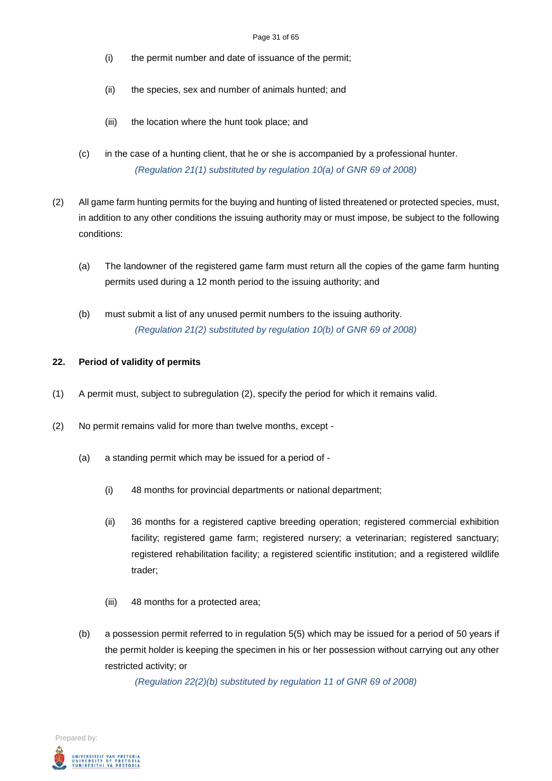- (i) the permit number and date of issuance of the permit;
- (ii) the species, sex and number of animals hunted; and
- (iii) the location where the hunt took place; and
- (c) in the case of a hunting client, that he or she is accompanied by a professional hunter. *(Regulation 21(1) substituted by regulation 10(a) of GNR 69 of 2008)*
- (2) All game farm hunting permits for the buying and hunting of listed threatened or protected species, must, in addition to any other conditions the issuing authority may or must impose, be subject to the following conditions:
	- (a) The landowner of the registered game farm must return all the copies of the game farm hunting permits used during a 12 month period to the issuing authority; and
	- (b) must submit a list of any unused permit numbers to the issuing authority. *(Regulation 21(2) substituted by regulation 10(b) of GNR 69 of 2008)*

#### **22. Period of validity of permits**

- (1) A permit must, subject to subregulation (2), specify the period for which it remains valid.
- (2) No permit remains valid for more than twelve months, except
	- (a) a standing permit which may be issued for a period of
		- (i) 48 months for provincial departments or national department;
		- (ii) 36 months for a registered captive breeding operation; registered commercial exhibition facility; registered game farm; registered nursery; a veterinarian; registered sanctuary; registered rehabilitation facility; a registered scientific institution; and a registered wildlife trader;
		- (iii) 48 months for a protected area;
	- (b) a possession permit referred to in regulation 5(5) which may be issued for a period of 50 years if the permit holder is keeping the specimen in his or her possession without carrying out any other restricted activity; or

*(Regulation 22(2)(b) substituted by regulation 11 of GNR 69 of 2008)*

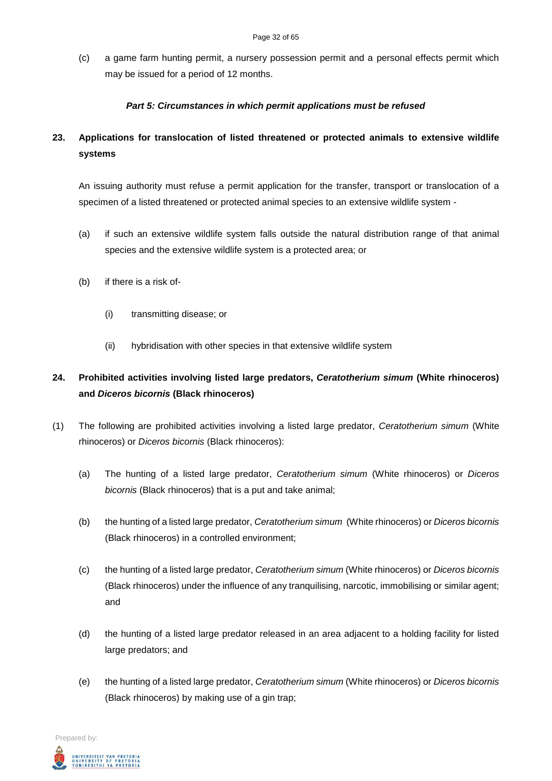(c) a game farm hunting permit, a nursery possession permit and a personal effects permit which may be issued for a period of 12 months.

# *Part 5: Circumstances in which permit applications must be refused*

# **23. Applications for translocation of listed threatened or protected animals to extensive wildlife systems**

An issuing authority must refuse a permit application for the transfer, transport or translocation of a specimen of a listed threatened or protected animal species to an extensive wildlife system -

- (a) if such an extensive wildlife system falls outside the natural distribution range of that animal species and the extensive wildlife system is a protected area; or
- (b) if there is a risk of-
	- (i) transmitting disease; or
	- (ii) hybridisation with other species in that extensive wildlife system

# **24. Prohibited activities involving listed large predators,** *Ceratotherium simum* **(White rhinoceros) and** *Diceros bicornis* **(Black rhinoceros)**

- (1) The following are prohibited activities involving a listed large predator, *Ceratotherium simum* (White rhinoceros) or *Diceros bicornis* (Black rhinoceros):
	- (a) The hunting of a listed large predator, *Ceratotherium simum* (White rhinoceros) or *Diceros bicornis* (Black rhinoceros) that is a put and take animal;
	- (b) the hunting of a listed large predator, *Ceratotherium simum* (White rhinoceros) or *Diceros bicornis*  (Black rhinoceros) in a controlled environment;
	- (c) the hunting of a listed large predator, *Ceratotherium simum* (White rhinoceros) or *Diceros bicornis*  (Black rhinoceros) under the influence of any tranquilising, narcotic, immobilising or similar agent; and
	- (d) the hunting of a listed large predator released in an area adjacent to a holding facility for listed large predators; and
	- (e) the hunting of a listed large predator, *Ceratotherium simum* (White rhinoceros) or *Diceros bicornis*  (Black rhinoceros) by making use of a gin trap;

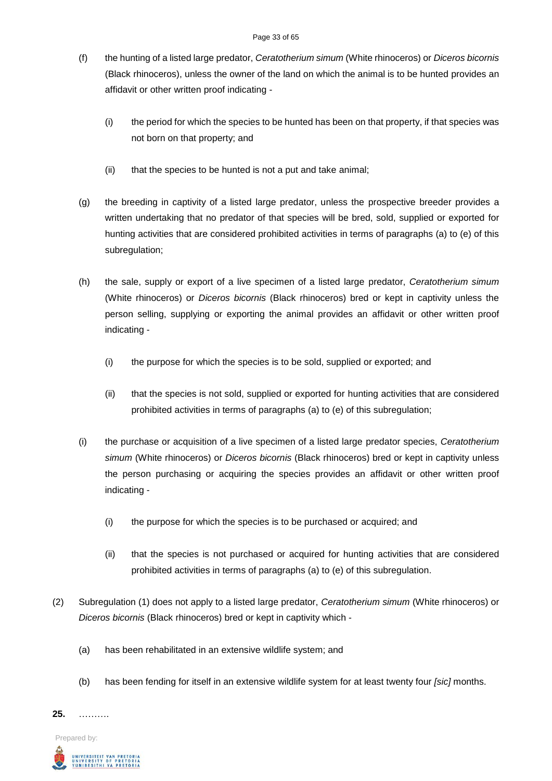#### Page 33 of 65

- (f) the hunting of a listed large predator, *Ceratotherium simum* (White rhinoceros) or *Diceros bicornis*  (Black rhinoceros), unless the owner of the land on which the animal is to be hunted provides an affidavit or other written proof indicating -
	- (i) the period for which the species to be hunted has been on that property, if that species was not born on that property; and
	- (ii) that the species to be hunted is not a put and take animal;
- (g) the breeding in captivity of a listed large predator, unless the prospective breeder provides a written undertaking that no predator of that species will be bred, sold, supplied or exported for hunting activities that are considered prohibited activities in terms of paragraphs (a) to (e) of this subregulation;
- (h) the sale, supply or export of a live specimen of a listed large predator, *Ceratotherium simum* (White rhinoceros) or *Diceros bicornis* (Black rhinoceros) bred or kept in captivity unless the person selling, supplying or exporting the animal provides an affidavit or other written proof indicating -
	- (i) the purpose for which the species is to be sold, supplied or exported; and
	- (ii) that the species is not sold, supplied or exported for hunting activities that are considered prohibited activities in terms of paragraphs (a) to (e) of this subregulation;
- (i) the purchase or acquisition of a live specimen of a listed large predator species, *Ceratotherium simum* (White rhinoceros) or *Diceros bicornis* (Black rhinoceros) bred or kept in captivity unless the person purchasing or acquiring the species provides an affidavit or other written proof indicating -
	- (i) the purpose for which the species is to be purchased or acquired; and
	- (ii) that the species is not purchased or acquired for hunting activities that are considered prohibited activities in terms of paragraphs (a) to (e) of this subregulation.
- (2) Subregulation (1) does not apply to a listed large predator, *Ceratotherium simum* (White rhinoceros) or *Diceros bicornis* (Black rhinoceros) bred or kept in captivity which -
	- (a) has been rehabilitated in an extensive wildlife system; and
	- (b) has been fending for itself in an extensive wildlife system for at least twenty four *[sic]* months.

**25.** ……….

Prepared by:

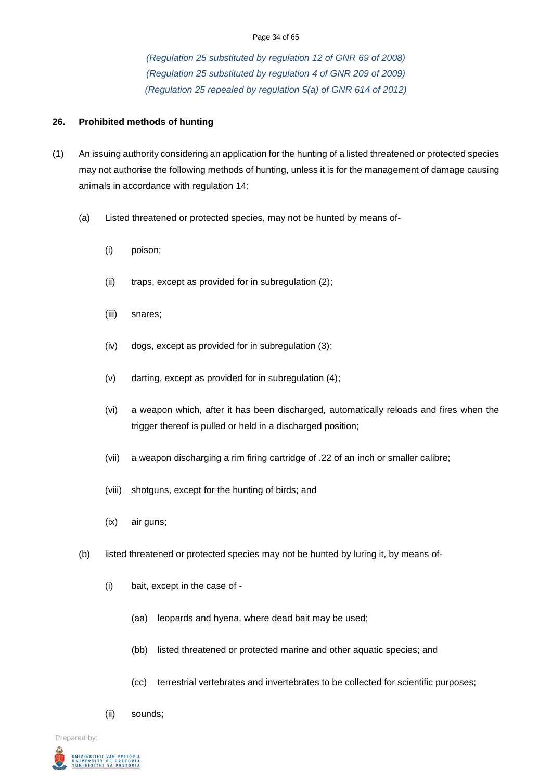#### Page 34 of 65

*(Regulation 25 substituted by regulation 12 of GNR 69 of 2008) (Regulation 25 substituted by regulation 4 of GNR 209 of 2009) (Regulation 25 repealed by regulation 5(a) of GNR 614 of 2012)*

#### **26. Prohibited methods of hunting**

- (1) An issuing authority considering an application for the hunting of a listed threatened or protected species may not authorise the following methods of hunting, unless it is for the management of damage causing animals in accordance with regulation 14:
	- (a) Listed threatened or protected species, may not be hunted by means of-
		- (i) poison;
		- (ii) traps, except as provided for in subregulation (2);
		- (iii) snares;
		- (iv) dogs, except as provided for in subregulation (3);
		- (v) darting, except as provided for in subregulation (4);
		- (vi) a weapon which, after it has been discharged, automatically reloads and fires when the trigger thereof is pulled or held in a discharged position;
		- (vii) a weapon discharging a rim firing cartridge of .22 of an inch or smaller calibre;
		- (viii) shotguns, except for the hunting of birds; and
		- (ix) air guns;
	- (b) listed threatened or protected species may not be hunted by luring it, by means of-
		- (i) bait, except in the case of
			- (aa) leopards and hyena, where dead bait may be used;
			- (bb) listed threatened or protected marine and other aquatic species; and
			- (cc) terrestrial vertebrates and invertebrates to be collected for scientific purposes;
		- (ii) sounds;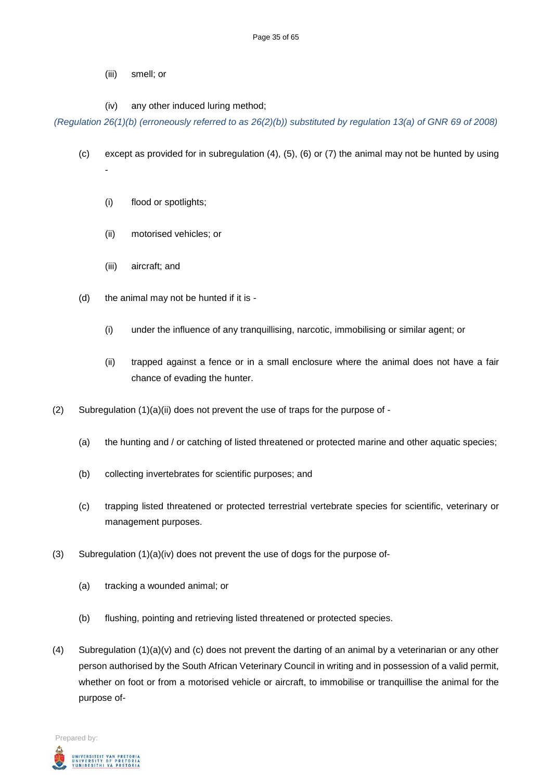- (iii) smell; or
- (iv) any other induced luring method;

*(Regulation 26(1)(b) (erroneously referred to as 26(2)(b)) substituted by regulation 13(a) of GNR 69 of 2008)*

- (c) except as provided for in subregulation (4), (5), (6) or (7) the animal may not be hunted by using -
	- (i) flood or spotlights;
	- (ii) motorised vehicles; or
	- (iii) aircraft; and
- (d) the animal may not be hunted if it is
	- (i) under the influence of any tranquillising, narcotic, immobilising or similar agent; or
	- (ii) trapped against a fence or in a small enclosure where the animal does not have a fair chance of evading the hunter.
- (2) Subregulation (1)(a)(ii) does not prevent the use of traps for the purpose of
	- (a) the hunting and / or catching of listed threatened or protected marine and other aquatic species;
	- (b) collecting invertebrates for scientific purposes; and
	- (c) trapping listed threatened or protected terrestrial vertebrate species for scientific, veterinary or management purposes.
- (3) Subregulation  $(1)(a)(iv)$  does not prevent the use of dogs for the purpose of-
	- (a) tracking a wounded animal; or
	- (b) flushing, pointing and retrieving listed threatened or protected species.
- (4) Subregulation  $(1)(a)(v)$  and (c) does not prevent the darting of an animal by a veterinarian or any other person authorised by the South African Veterinary Council in writing and in possession of a valid permit, whether on foot or from a motorised vehicle or aircraft, to immobilise or tranquillise the animal for the purpose of-

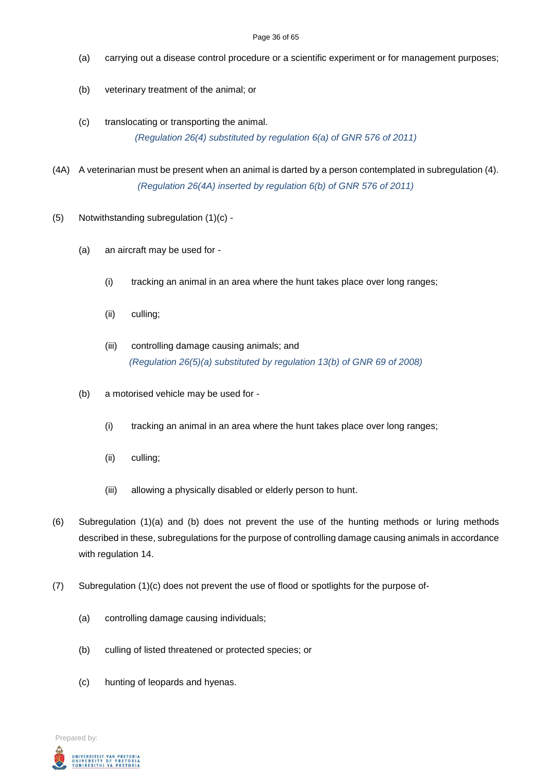#### Page 36 of 65

- (a) carrying out a disease control procedure or a scientific experiment or for management purposes;
- (b) veterinary treatment of the animal; or
- (c) translocating or transporting the animal.

*(Regulation 26(4) substituted by regulation 6(a) of GNR 576 of 2011)*

- (4A) A veterinarian must be present when an animal is darted by a person contemplated in subregulation (4). *(Regulation 26(4A) inserted by regulation 6(b) of GNR 576 of 2011)*
- (5) Notwithstanding subregulation (1)(c)
	- (a) an aircraft may be used for
		- (i) tracking an animal in an area where the hunt takes place over long ranges;
		- (ii) culling;
		- (iii) controlling damage causing animals; and *(Regulation 26(5)(a) substituted by regulation 13(b) of GNR 69 of 2008)*
	- (b) a motorised vehicle may be used for
		- (i) tracking an animal in an area where the hunt takes place over long ranges;
		- (ii) culling;
		- (iii) allowing a physically disabled or elderly person to hunt.
- (6) Subregulation (1)(a) and (b) does not prevent the use of the hunting methods or luring methods described in these, subregulations for the purpose of controlling damage causing animals in accordance with regulation 14.
- (7) Subregulation (1)(c) does not prevent the use of flood or spotlights for the purpose of-
	- (a) controlling damage causing individuals;
	- (b) culling of listed threatened or protected species; or
	- (c) hunting of leopards and hyenas.

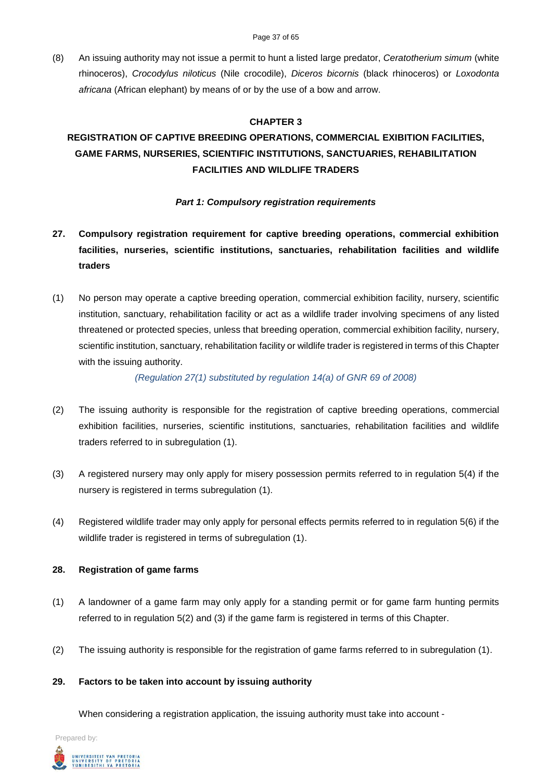(8) An issuing authority may not issue a permit to hunt a listed large predator, *Ceratotherium simum* (white rhinoceros), *Crocodylus niloticus* (Nile crocodile), *Diceros bicornis* (black rhinoceros) or *Loxodonta africana* (African elephant) by means of or by the use of a bow and arrow.

#### **CHAPTER 3**

# **REGISTRATION OF CAPTIVE BREEDING OPERATIONS, COMMERCIAL EXIBITION FACILITIES, GAME FARMS, NURSERIES, SCIENTIFIC INSTITUTIONS, SANCTUARIES, REHABILITATION FACILITIES AND WILDLIFE TRADERS**

### *Part 1: Compulsory registration requirements*

- **27. Compulsory registration requirement for captive breeding operations, commercial exhibition facilities, nurseries, scientific institutions, sanctuaries, rehabilitation facilities and wildlife traders**
- (1) No person may operate a captive breeding operation, commercial exhibition facility, nursery, scientific institution, sanctuary, rehabilitation facility or act as a wildlife trader involving specimens of any listed threatened or protected species, unless that breeding operation, commercial exhibition facility, nursery, scientific institution, sanctuary, rehabilitation facility or wildlife trader is registered in terms of this Chapter with the issuing authority.

*(Regulation 27(1) substituted by regulation 14(a) of GNR 69 of 2008)*

- (2) The issuing authority is responsible for the registration of captive breeding operations, commercial exhibition facilities, nurseries, scientific institutions, sanctuaries, rehabilitation facilities and wildlife traders referred to in subregulation (1).
- (3) A registered nursery may only apply for misery possession permits referred to in regulation 5(4) if the nursery is registered in terms subregulation (1).
- (4) Registered wildlife trader may only apply for personal effects permits referred to in regulation 5(6) if the wildlife trader is registered in terms of subregulation (1).

#### **28. Registration of game farms**

- (1) A landowner of a game farm may only apply for a standing permit or for game farm hunting permits referred to in regulation 5(2) and (3) if the game farm is registered in terms of this Chapter.
- (2) The issuing authority is responsible for the registration of game farms referred to in subregulation (1).

#### **29. Factors to be taken into account by issuing authority**

When considering a registration application, the issuing authority must take into account -

Prepared by:

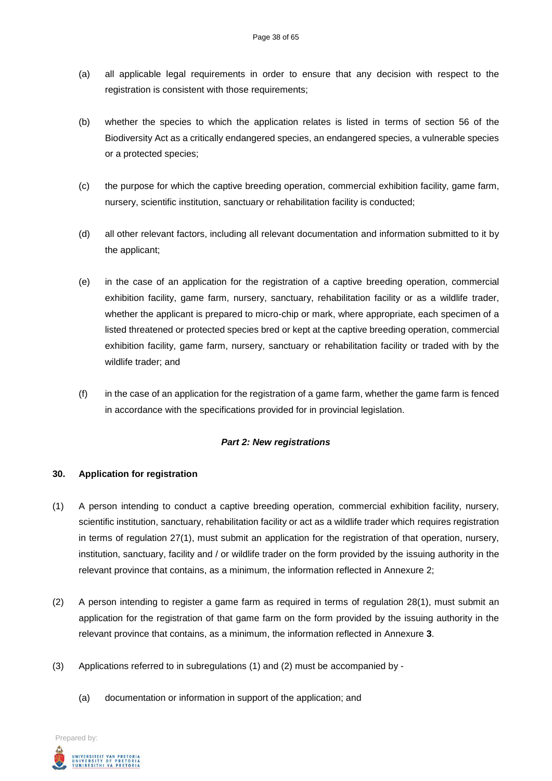- (a) all applicable legal requirements in order to ensure that any decision with respect to the registration is consistent with those requirements;
- (b) whether the species to which the application relates is listed in terms of section 56 of the Biodiversity Act as a critically endangered species, an endangered species, a vulnerable species or a protected species;
- (c) the purpose for which the captive breeding operation, commercial exhibition facility, game farm, nursery, scientific institution, sanctuary or rehabilitation facility is conducted;
- (d) all other relevant factors, including all relevant documentation and information submitted to it by the applicant;
- (e) in the case of an application for the registration of a captive breeding operation, commercial exhibition facility, game farm, nursery, sanctuary, rehabilitation facility or as a wildlife trader, whether the applicant is prepared to micro-chip or mark, where appropriate, each specimen of a listed threatened or protected species bred or kept at the captive breeding operation, commercial exhibition facility, game farm, nursery, sanctuary or rehabilitation facility or traded with by the wildlife trader; and
- (f) in the case of an application for the registration of a game farm, whether the game farm is fenced in accordance with the specifications provided for in provincial legislation.

#### *Part 2: New registrations*

#### **30. Application for registration**

- (1) A person intending to conduct a captive breeding operation, commercial exhibition facility, nursery, scientific institution, sanctuary, rehabilitation facility or act as a wildlife trader which requires registration in terms of regulation 27(1), must submit an application for the registration of that operation, nursery, institution, sanctuary, facility and / or wildlife trader on the form provided by the issuing authority in the relevant province that contains, as a minimum, the information reflected in Annexure 2;
- (2) A person intending to register a game farm as required in terms of regulation 28(1), must submit an application for the registration of that game farm on the form provided by the issuing authority in the relevant province that contains, as a minimum, the information reflected in Annexure **3**.
- (3) Applications referred to in subregulations (1) and (2) must be accompanied by
	- (a) documentation or information in support of the application; and

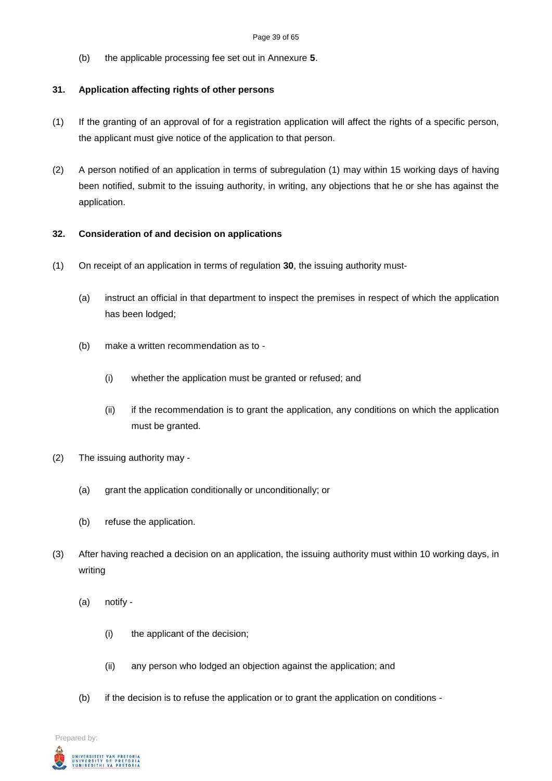(b) the applicable processing fee set out in Annexure **5**.

#### **31. Application affecting rights of other persons**

- (1) If the granting of an approval of for a registration application will affect the rights of a specific person, the applicant must give notice of the application to that person.
- (2) A person notified of an application in terms of subregulation (1) may within 15 working days of having been notified, submit to the issuing authority, in writing, any objections that he or she has against the application.

#### **32. Consideration of and decision on applications**

- (1) On receipt of an application in terms of regulation **30**, the issuing authority must-
	- (a) instruct an official in that department to inspect the premises in respect of which the application has been lodged;
	- (b) make a written recommendation as to
		- (i) whether the application must be granted or refused; and
		- (ii) if the recommendation is to grant the application, any conditions on which the application must be granted.
- (2) The issuing authority may
	- (a) grant the application conditionally or unconditionally; or
	- (b) refuse the application.
- (3) After having reached a decision on an application, the issuing authority must within 10 working days, in writing
	- (a) notify
		- (i) the applicant of the decision;
		- (ii) any person who lodged an objection against the application; and
	- (b) if the decision is to refuse the application or to grant the application on conditions -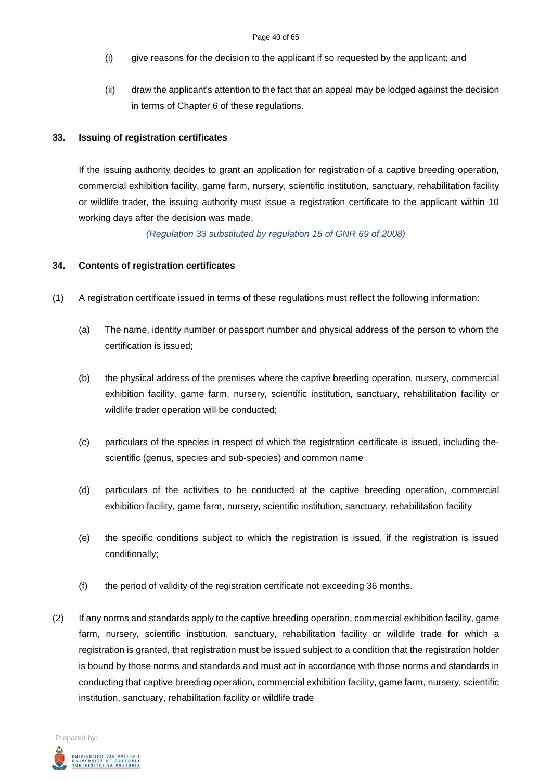- (i) give reasons for the decision to the applicant if so requested by the applicant; and
- (ii) draw the applicant's attention to the fact that an appeal may be lodged against the decision in terms of Chapter 6 of these regulations.

#### **33. Issuing of registration certificates**

If the issuing authority decides to grant an application for registration of a captive breeding operation, commercial exhibition facility, game farm, nursery, scientific institution, sanctuary, rehabilitation facility or wildlife trader, the issuing authority must issue a registration certificate to the applicant within 10 working days after the decision was made.

*(Regulation 33 substituted by regulation 15 of GNR 69 of 2008)*

#### **34. Contents of registration certificates**

- (1) A registration certificate issued in terms of these regulations must reflect the following information:
	- (a) The name, identity number or passport number and physical address of the person to whom the certification is issued;
	- (b) the physical address of the premises where the captive breeding operation, nursery, commercial exhibition facility, game farm, nursery, scientific institution, sanctuary, rehabilitation facility or wildlife trader operation will be conducted;
	- (c) particulars of the species in respect of which the registration certificate is issued, including thescientific (genus, species and sub-species) and common name
	- (d) particulars of the activities to be conducted at the captive breeding operation, commercial exhibition facility, game farm, nursery, scientific institution, sanctuary, rehabilitation facility
	- (e) the specific conditions subject to which the registration is issued, if the registration is issued conditionally;
	- (f) the period of validity of the registration certificate not exceeding 36 months.
- (2) If any norms and standards apply to the captive breeding operation, commercial exhibition facility, game farm, nursery, scientific institution, sanctuary, rehabilitation facility or wildlife trade for which a registration is granted, that registration must be issued subject to a condition that the registration holder is bound by those norms and standards and must act in accordance with those norms and standards in conducting that captive breeding operation, commercial exhibition facility, game farm, nursery, scientific institution, sanctuary, rehabilitation facility or wildlife trade

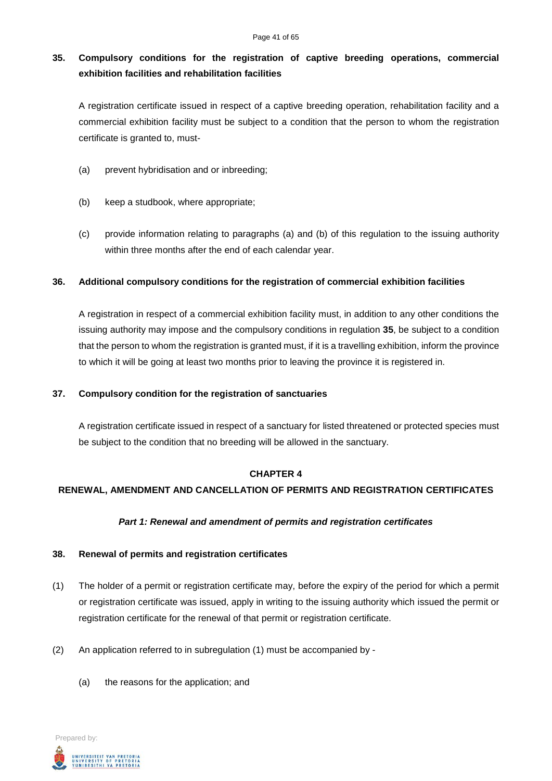# **35. Compulsory conditions for the registration of captive breeding operations, commercial exhibition facilities and rehabilitation facilities**

A registration certificate issued in respect of a captive breeding operation, rehabilitation facility and a commercial exhibition facility must be subject to a condition that the person to whom the registration certificate is granted to, must-

- (a) prevent hybridisation and or inbreeding;
- (b) keep a studbook, where appropriate;
- (c) provide information relating to paragraphs (a) and (b) of this regulation to the issuing authority within three months after the end of each calendar year.

### **36. Additional compulsory conditions for the registration of commercial exhibition facilities**

A registration in respect of a commercial exhibition facility must, in addition to any other conditions the issuing authority may impose and the compulsory conditions in regulation **35**, be subject to a condition that the person to whom the registration is granted must, if it is a travelling exhibition, inform the province to which it will be going at least two months prior to leaving the province it is registered in.

#### **37. Compulsory condition for the registration of sanctuaries**

A registration certificate issued in respect of a sanctuary for listed threatened or protected species must be subject to the condition that no breeding will be allowed in the sanctuary.

#### **CHAPTER 4**

# **RENEWAL, AMENDMENT AND CANCELLATION OF PERMITS AND REGISTRATION CERTIFICATES**

#### *Part 1: Renewal and amendment of permits and registration certificates*

#### **38. Renewal of permits and registration certificates**

- (1) The holder of a permit or registration certificate may, before the expiry of the period for which a permit or registration certificate was issued, apply in writing to the issuing authority which issued the permit or registration certificate for the renewal of that permit or registration certificate.
- (2) An application referred to in subregulation  $(1)$  must be accompanied by -
	- (a) the reasons for the application; and

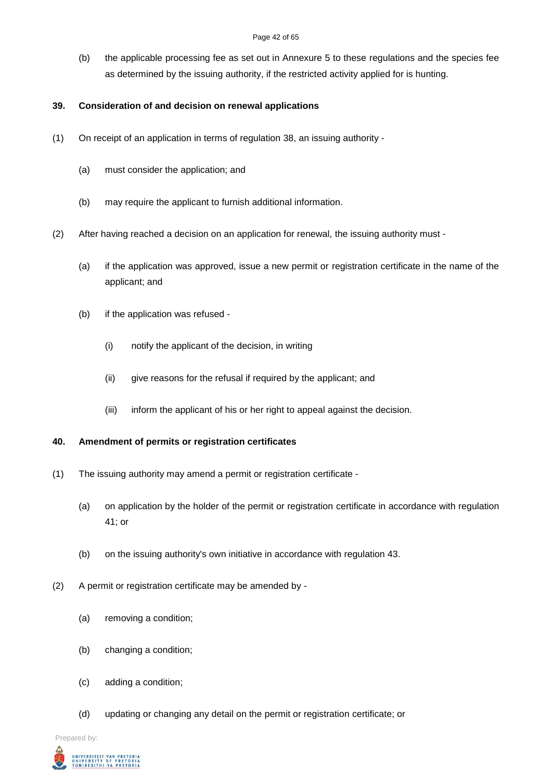(b) the applicable processing fee as set out in Annexure 5 to these regulations and the species fee as determined by the issuing authority, if the restricted activity applied for is hunting.

# **39. Consideration of and decision on renewal applications**

- (1) On receipt of an application in terms of regulation 38, an issuing authority
	- (a) must consider the application; and
	- (b) may require the applicant to furnish additional information.
- (2) After having reached a decision on an application for renewal, the issuing authority must
	- (a) if the application was approved, issue a new permit or registration certificate in the name of the applicant; and
	- (b) if the application was refused
		- (i) notify the applicant of the decision, in writing
		- (ii) give reasons for the refusal if required by the applicant; and
		- (iii) inform the applicant of his or her right to appeal against the decision.

# **40. Amendment of permits or registration certificates**

- (1) The issuing authority may amend a permit or registration certificate
	- (a) on application by the holder of the permit or registration certificate in accordance with regulation 41; or
	- (b) on the issuing authority's own initiative in accordance with regulation 43.
- (2) A permit or registration certificate may be amended by
	- (a) removing a condition;
	- (b) changing a condition;
	- (c) adding a condition;
	- (d) updating or changing any detail on the permit or registration certificate; or

Prepared by:

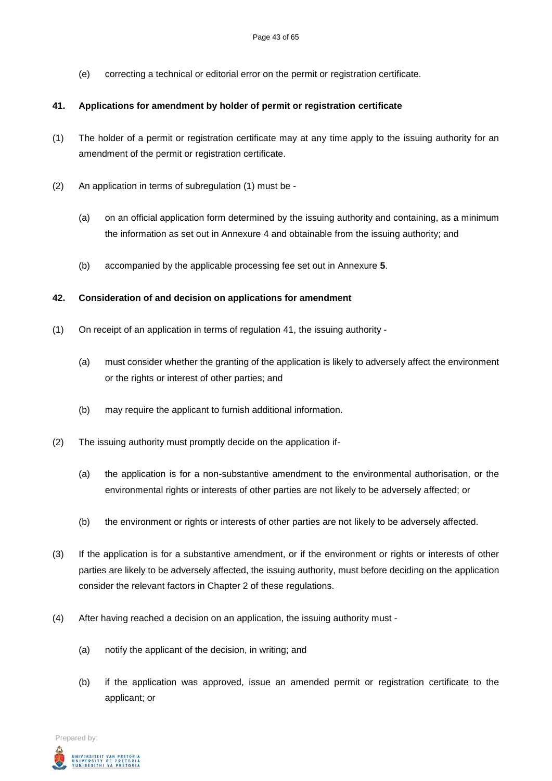(e) correcting a technical or editorial error on the permit or registration certificate.

### **41. Applications for amendment by holder of permit or registration certificate**

- (1) The holder of a permit or registration certificate may at any time apply to the issuing authority for an amendment of the permit or registration certificate.
- (2) An application in terms of subregulation (1) must be
	- (a) on an official application form determined by the issuing authority and containing, as a minimum the information as set out in Annexure 4 and obtainable from the issuing authority; and
	- (b) accompanied by the applicable processing fee set out in Annexure **5**.

### **42. Consideration of and decision on applications for amendment**

- (1) On receipt of an application in terms of regulation 41, the issuing authority
	- (a) must consider whether the granting of the application is likely to adversely affect the environment or the rights or interest of other parties; and
	- (b) may require the applicant to furnish additional information.
- (2) The issuing authority must promptly decide on the application if-
	- (a) the application is for a non-substantive amendment to the environmental authorisation, or the environmental rights or interests of other parties are not likely to be adversely affected; or
	- (b) the environment or rights or interests of other parties are not likely to be adversely affected.
- (3) If the application is for a substantive amendment, or if the environment or rights or interests of other parties are likely to be adversely affected, the issuing authority, must before deciding on the application consider the relevant factors in Chapter 2 of these regulations.
- (4) After having reached a decision on an application, the issuing authority must
	- (a) notify the applicant of the decision, in writing; and
	- (b) if the application was approved, issue an amended permit or registration certificate to the applicant; or

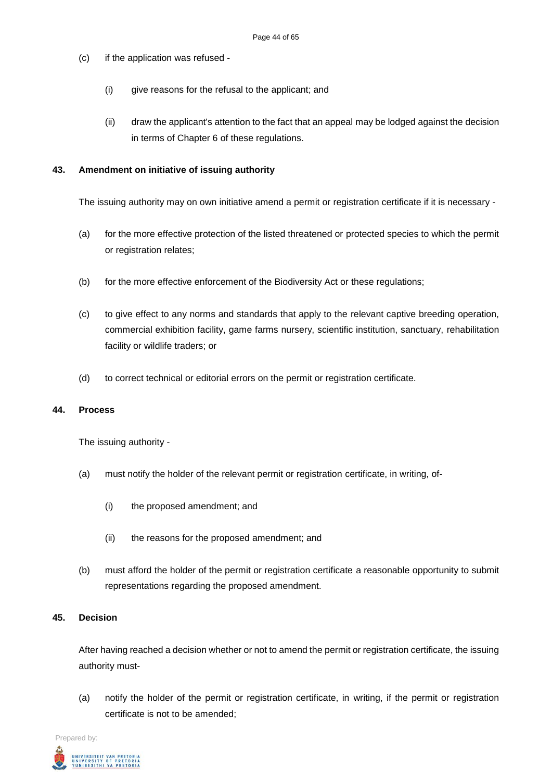- (c) if the application was refused
	- (i) give reasons for the refusal to the applicant; and
	- (ii) draw the applicant's attention to the fact that an appeal may be lodged against the decision in terms of Chapter 6 of these regulations.

#### **43. Amendment on initiative of issuing authority**

The issuing authority may on own initiative amend a permit or registration certificate if it is necessary -

- (a) for the more effective protection of the listed threatened or protected species to which the permit or registration relates;
- (b) for the more effective enforcement of the Biodiversity Act or these regulations;
- (c) to give effect to any norms and standards that apply to the relevant captive breeding operation, commercial exhibition facility, game farms nursery, scientific institution, sanctuary, rehabilitation facility or wildlife traders; or
- (d) to correct technical or editorial errors on the permit or registration certificate.

#### **44. Process**

The issuing authority -

- (a) must notify the holder of the relevant permit or registration certificate, in writing, of-
	- (i) the proposed amendment; and
	- (ii) the reasons for the proposed amendment; and
- (b) must afford the holder of the permit or registration certificate a reasonable opportunity to submit representations regarding the proposed amendment.

#### **45. Decision**

After having reached a decision whether or not to amend the permit or registration certificate, the issuing authority must-

(a) notify the holder of the permit or registration certificate, in writing, if the permit or registration certificate is not to be amended;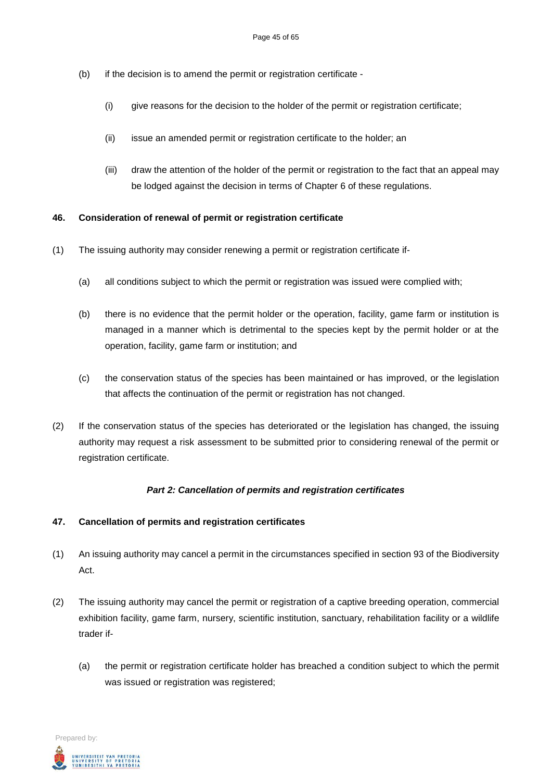- (b) if the decision is to amend the permit or registration certificate
	- (i) give reasons for the decision to the holder of the permit or registration certificate;
	- (ii) issue an amended permit or registration certificate to the holder; an
	- (iii) draw the attention of the holder of the permit or registration to the fact that an appeal may be lodged against the decision in terms of Chapter 6 of these regulations.

### **46. Consideration of renewal of permit or registration certificate**

- (1) The issuing authority may consider renewing a permit or registration certificate if-
	- (a) all conditions subject to which the permit or registration was issued were complied with;
	- (b) there is no evidence that the permit holder or the operation, facility, game farm or institution is managed in a manner which is detrimental to the species kept by the permit holder or at the operation, facility, game farm or institution; and
	- (c) the conservation status of the species has been maintained or has improved, or the legislation that affects the continuation of the permit or registration has not changed.
- (2) If the conservation status of the species has deteriorated or the legislation has changed, the issuing authority may request a risk assessment to be submitted prior to considering renewal of the permit or registration certificate.

#### *Part 2: Cancellation of permits and registration certificates*

# **47. Cancellation of permits and registration certificates**

- (1) An issuing authority may cancel a permit in the circumstances specified in section 93 of the Biodiversity Act.
- (2) The issuing authority may cancel the permit or registration of a captive breeding operation, commercial exhibition facility, game farm, nursery, scientific institution, sanctuary, rehabilitation facility or a wildlife trader if-
	- (a) the permit or registration certificate holder has breached a condition subject to which the permit was issued or registration was registered;

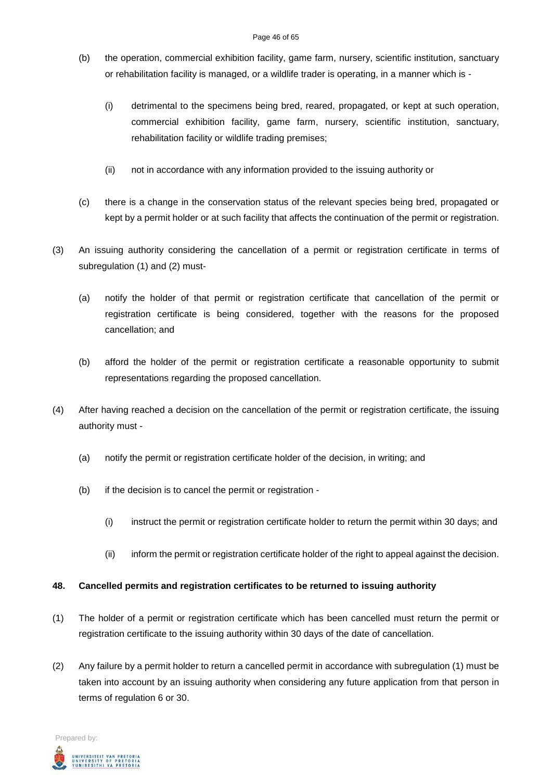- (b) the operation, commercial exhibition facility, game farm, nursery, scientific institution, sanctuary or rehabilitation facility is managed, or a wildlife trader is operating, in a manner which is -
	- (i) detrimental to the specimens being bred, reared, propagated, or kept at such operation, commercial exhibition facility, game farm, nursery, scientific institution, sanctuary, rehabilitation facility or wildlife trading premises;
	- (ii) not in accordance with any information provided to the issuing authority or
- (c) there is a change in the conservation status of the relevant species being bred, propagated or kept by a permit holder or at such facility that affects the continuation of the permit or registration.
- (3) An issuing authority considering the cancellation of a permit or registration certificate in terms of subregulation (1) and (2) must-
	- (a) notify the holder of that permit or registration certificate that cancellation of the permit or registration certificate is being considered, together with the reasons for the proposed cancellation; and
	- (b) afford the holder of the permit or registration certificate a reasonable opportunity to submit representations regarding the proposed cancellation.
- (4) After having reached a decision on the cancellation of the permit or registration certificate, the issuing authority must -
	- (a) notify the permit or registration certificate holder of the decision, in writing; and
	- (b) if the decision is to cancel the permit or registration
		- (i) instruct the permit or registration certificate holder to return the permit within 30 days; and
		- (ii) inform the permit or registration certificate holder of the right to appeal against the decision.

#### **48. Cancelled permits and registration certificates to be returned to issuing authority**

- (1) The holder of a permit or registration certificate which has been cancelled must return the permit or registration certificate to the issuing authority within 30 days of the date of cancellation.
- (2) Any failure by a permit holder to return a cancelled permit in accordance with subregulation (1) must be taken into account by an issuing authority when considering any future application from that person in terms of regulation 6 or 30.

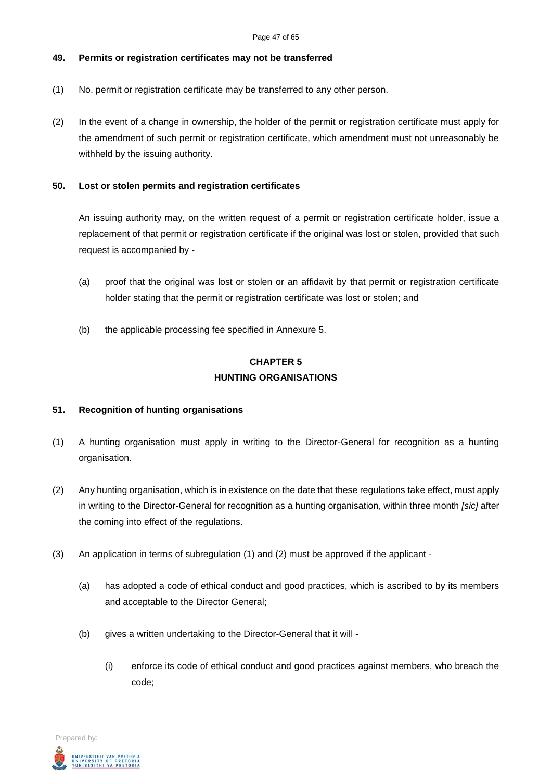### **49. Permits or registration certificates may not be transferred**

- (1) No. permit or registration certificate may be transferred to any other person.
- (2) In the event of a change in ownership, the holder of the permit or registration certificate must apply for the amendment of such permit or registration certificate, which amendment must not unreasonably be withheld by the issuing authority.

## **50. Lost or stolen permits and registration certificates**

An issuing authority may, on the written request of a permit or registration certificate holder, issue a replacement of that permit or registration certificate if the original was lost or stolen, provided that such request is accompanied by -

- (a) proof that the original was lost or stolen or an affidavit by that permit or registration certificate holder stating that the permit or registration certificate was lost or stolen; and
- (b) the applicable processing fee specified in Annexure 5.

# **CHAPTER 5 HUNTING ORGANISATIONS**

# **51. Recognition of hunting organisations**

- (1) A hunting organisation must apply in writing to the Director-General for recognition as a hunting organisation.
- (2) Any hunting organisation, which is in existence on the date that these regulations take effect, must apply in writing to the Director-General for recognition as a hunting organisation, within three month *[sic]* after the coming into effect of the regulations.
- (3) An application in terms of subregulation (1) and (2) must be approved if the applicant
	- (a) has adopted a code of ethical conduct and good practices, which is ascribed to by its members and acceptable to the Director General;
	- (b) gives a written undertaking to the Director-General that it will
		- (i) enforce its code of ethical conduct and good practices against members, who breach the code;

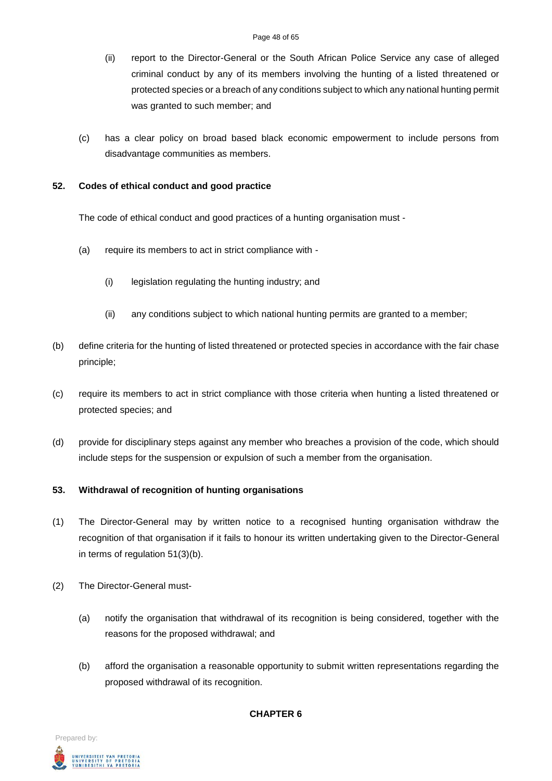- (ii) report to the Director-General or the South African Police Service any case of alleged criminal conduct by any of its members involving the hunting of a listed threatened or protected species or a breach of any conditions subject to which any national hunting permit was granted to such member; and
- (c) has a clear policy on broad based black economic empowerment to include persons from disadvantage communities as members.

#### **52. Codes of ethical conduct and good practice**

The code of ethical conduct and good practices of a hunting organisation must -

- (a) require its members to act in strict compliance with
	- (i) legislation regulating the hunting industry; and
	- (ii) any conditions subject to which national hunting permits are granted to a member;
- (b) define criteria for the hunting of listed threatened or protected species in accordance with the fair chase principle;
- (c) require its members to act in strict compliance with those criteria when hunting a listed threatened or protected species; and
- (d) provide for disciplinary steps against any member who breaches a provision of the code, which should include steps for the suspension or expulsion of such a member from the organisation.

#### **53. Withdrawal of recognition of hunting organisations**

- (1) The Director-General may by written notice to a recognised hunting organisation withdraw the recognition of that organisation if it fails to honour its written undertaking given to the Director-General in terms of regulation 51(3)(b).
- (2) The Director-General must-
	- (a) notify the organisation that withdrawal of its recognition is being considered, together with the reasons for the proposed withdrawal; and
	- (b) afford the organisation a reasonable opportunity to submit written representations regarding the proposed withdrawal of its recognition.



#### **CHAPTER 6**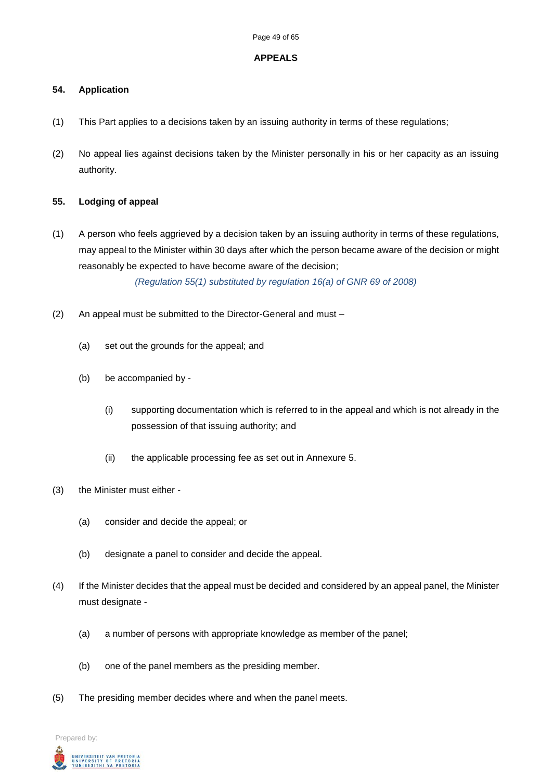#### **APPEALS**

#### **54. Application**

- (1) This Part applies to a decisions taken by an issuing authority in terms of these regulations;
- (2) No appeal lies against decisions taken by the Minister personally in his or her capacity as an issuing authority.

### **55. Lodging of appeal**

(1) A person who feels aggrieved by a decision taken by an issuing authority in terms of these regulations, may appeal to the Minister within 30 days after which the person became aware of the decision or might reasonably be expected to have become aware of the decision;

*(Regulation 55(1) substituted by regulation 16(a) of GNR 69 of 2008)*

- (2) An appeal must be submitted to the Director-General and must
	- (a) set out the grounds for the appeal; and
	- (b) be accompanied by
		- (i) supporting documentation which is referred to in the appeal and which is not already in the possession of that issuing authority; and
		- (ii) the applicable processing fee as set out in Annexure 5.
- (3) the Minister must either
	- (a) consider and decide the appeal; or
	- (b) designate a panel to consider and decide the appeal.
- (4) If the Minister decides that the appeal must be decided and considered by an appeal panel, the Minister must designate -
	- (a) a number of persons with appropriate knowledge as member of the panel;
	- (b) one of the panel members as the presiding member.
- (5) The presiding member decides where and when the panel meets.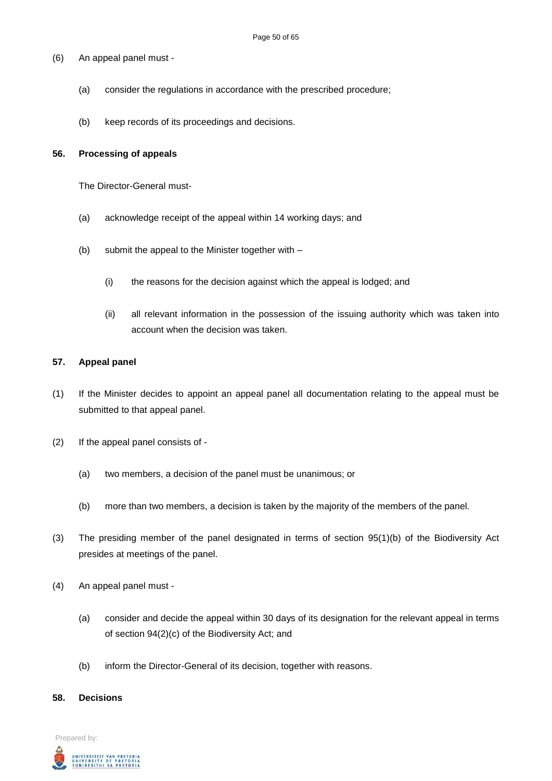- (6) An appeal panel must
	- (a) consider the regulations in accordance with the prescribed procedure;
	- (b) keep records of its proceedings and decisions.

#### **56. Processing of appeals**

The Director-General must-

- (a) acknowledge receipt of the appeal within 14 working days; and
- (b) submit the appeal to the Minister together with
	- (i) the reasons for the decision against which the appeal is lodged; and
	- (ii) all relevant information in the possession of the issuing authority which was taken into account when the decision was taken.

#### **57. Appeal panel**

- (1) If the Minister decides to appoint an appeal panel all documentation relating to the appeal must be submitted to that appeal panel.
- (2) If the appeal panel consists of
	- (a) two members, a decision of the panel must be unanimous; or
	- (b) more than two members, a decision is taken by the majority of the members of the panel.
- (3) The presiding member of the panel designated in terms of section 95(1)(b) of the Biodiversity Act presides at meetings of the panel.
- (4) An appeal panel must
	- (a) consider and decide the appeal within 30 days of its designation for the relevant appeal in terms of section 94(2)(c) of the Biodiversity Act; and
	- (b) inform the Director-General of its decision, together with reasons.

#### **58. Decisions**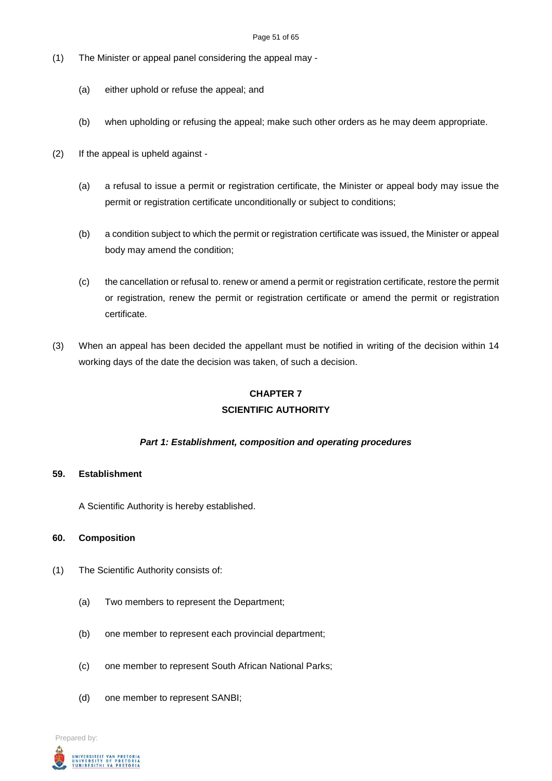- (1) The Minister or appeal panel considering the appeal may
	- (a) either uphold or refuse the appeal; and
	- (b) when upholding or refusing the appeal; make such other orders as he may deem appropriate.
- (2) If the appeal is upheld against
	- (a) a refusal to issue a permit or registration certificate, the Minister or appeal body may issue the permit or registration certificate unconditionally or subject to conditions;
	- (b) a condition subject to which the permit or registration certificate was issued, the Minister or appeal body may amend the condition;
	- (c) the cancellation or refusal to. renew or amend a permit or registration certificate, restore the permit or registration, renew the permit or registration certificate or amend the permit or registration certificate.
- (3) When an appeal has been decided the appellant must be notified in writing of the decision within 14 working days of the date the decision was taken, of such a decision.

# **CHAPTER 7 SCIENTIFIC AUTHORITY**

#### *Part 1: Establishment, composition and operating procedures*

#### **59. Establishment**

A Scientific Authority is hereby established.

#### **60. Composition**

- (1) The Scientific Authority consists of:
	- (a) Two members to represent the Department;
	- (b) one member to represent each provincial department;
	- (c) one member to represent South African National Parks;
	- (d) one member to represent SANBI;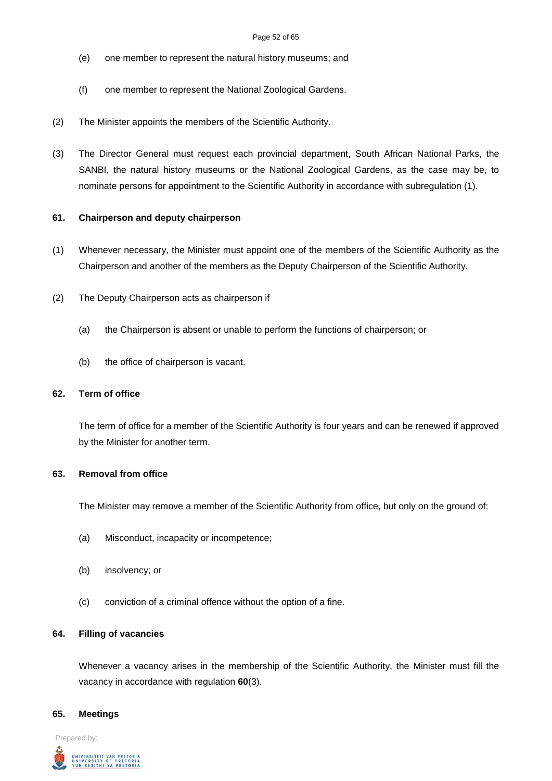#### Page 52 of 65

- (e) one member to represent the natural history museums; and
- (f) one member to represent the National Zoological Gardens.
- (2) The Minister appoints the members of the Scientific Authority.
- (3) The Director General must request each provincial department, South African National Parks, the SANBI, the natural history museums or the National Zoological Gardens, as the case may be, to nominate persons for appointment to the Scientific Authority in accordance with subregulation (1).

#### **61. Chairperson and deputy chairperson**

- (1) Whenever necessary, the Minister must appoint one of the members of the Scientific Authority as the Chairperson and another of the members as the Deputy Chairperson of the Scientific Authority.
- (2) The Deputy Chairperson acts as chairperson if
	- (a) the Chairperson is absent or unable to perform the functions of chairperson; or
	- (b) the office of chairperson is vacant.

#### **62. Term of office**

The term of office for a member of the Scientific Authority is four years and can be renewed if approved by the Minister for another term.

#### **63. Removal from office**

The Minister may remove a member of the Scientific Authority from office, but only on the ground of:

- (a) Misconduct, incapacity or incompetence;
- (b) insolvency; or
- (c) conviction of a criminal offence without the option of a fine.

#### **64. Filling of vacancies**

Whenever a vacancy arises in the membership of the Scientific Authority, the Minister must fill the vacancy in accordance with regulation **60**(3).

#### **65. Meetings**

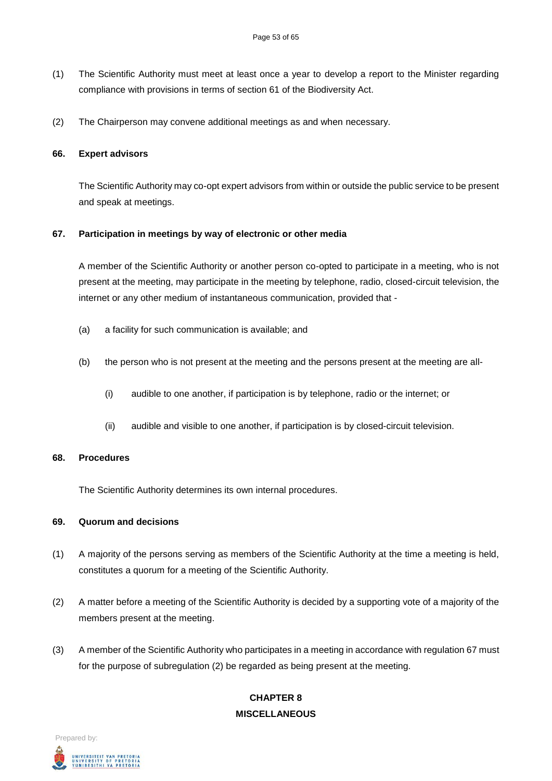- (1) The Scientific Authority must meet at least once a year to develop a report to the Minister regarding compliance with provisions in terms of section 61 of the Biodiversity Act.
- (2) The Chairperson may convene additional meetings as and when necessary.

#### **66. Expert advisors**

The Scientific Authority may co-opt expert advisors from within or outside the public service to be present and speak at meetings.

#### **67. Participation in meetings by way of electronic or other media**

A member of the Scientific Authority or another person co-opted to participate in a meeting, who is not present at the meeting, may participate in the meeting by telephone, radio, closed-circuit television, the internet or any other medium of instantaneous communication, provided that -

- (a) a facility for such communication is available; and
- (b) the person who is not present at the meeting and the persons present at the meeting are all-
	- (i) audible to one another, if participation is by telephone, radio or the internet; or
	- (ii) audible and visible to one another, if participation is by closed-circuit television.

#### **68. Procedures**

The Scientific Authority determines its own internal procedures.

#### **69. Quorum and decisions**

- (1) A majority of the persons serving as members of the Scientific Authority at the time a meeting is held, constitutes a quorum for a meeting of the Scientific Authority.
- (2) A matter before a meeting of the Scientific Authority is decided by a supporting vote of a majority of the members present at the meeting.
- (3) A member of the Scientific Authority who participates in a meeting in accordance with regulation 67 must for the purpose of subregulation (2) be regarded as being present at the meeting.

# **CHAPTER 8 MISCELLANEOUS**

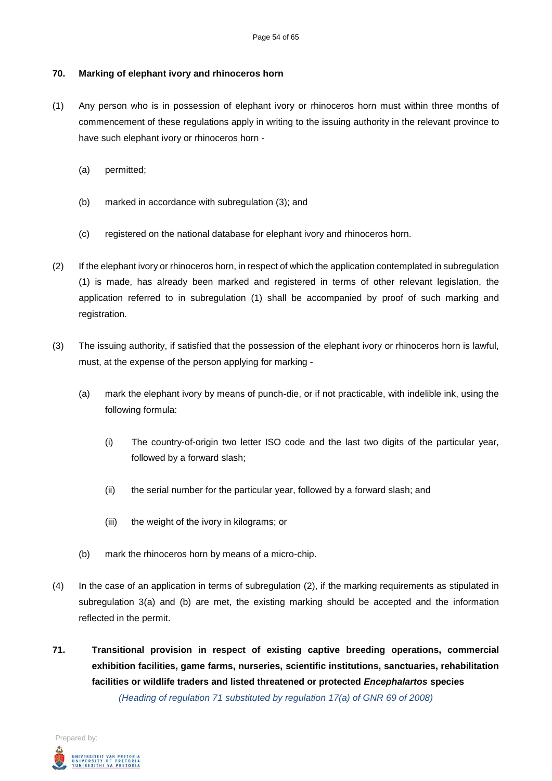#### **70. Marking of elephant ivory and rhinoceros horn**

- (1) Any person who is in possession of elephant ivory or rhinoceros horn must within three months of commencement of these regulations apply in writing to the issuing authority in the relevant province to have such elephant ivory or rhinoceros horn -
	- (a) permitted;
	- (b) marked in accordance with subregulation (3); and
	- (c) registered on the national database for elephant ivory and rhinoceros horn.
- (2) If the elephant ivory or rhinoceros horn, in respect of which the application contemplated in subregulation (1) is made, has already been marked and registered in terms of other relevant legislation, the application referred to in subregulation (1) shall be accompanied by proof of such marking and registration.
- (3) The issuing authority, if satisfied that the possession of the elephant ivory or rhinoceros horn is lawful, must, at the expense of the person applying for marking -
	- (a) mark the elephant ivory by means of punch-die, or if not practicable, with indelible ink, using the following formula:
		- (i) The country-of-origin two letter ISO code and the last two digits of the particular year, followed by a forward slash;
		- (ii) the serial number for the particular year, followed by a forward slash; and
		- (iii) the weight of the ivory in kilograms; or
	- (b) mark the rhinoceros horn by means of a micro-chip.
- (4) In the case of an application in terms of subregulation (2), if the marking requirements as stipulated in subregulation 3(a) and (b) are met, the existing marking should be accepted and the information reflected in the permit.
- **71. Transitional provision in respect of existing captive breeding operations, commercial exhibition facilities, game farms, nurseries, scientific institutions, sanctuaries, rehabilitation facilities or wildlife traders and listed threatened or protected** *Encephalartos* **species** *(Heading of regulation 71 substituted by regulation 17(a) of GNR 69 of 2008)*

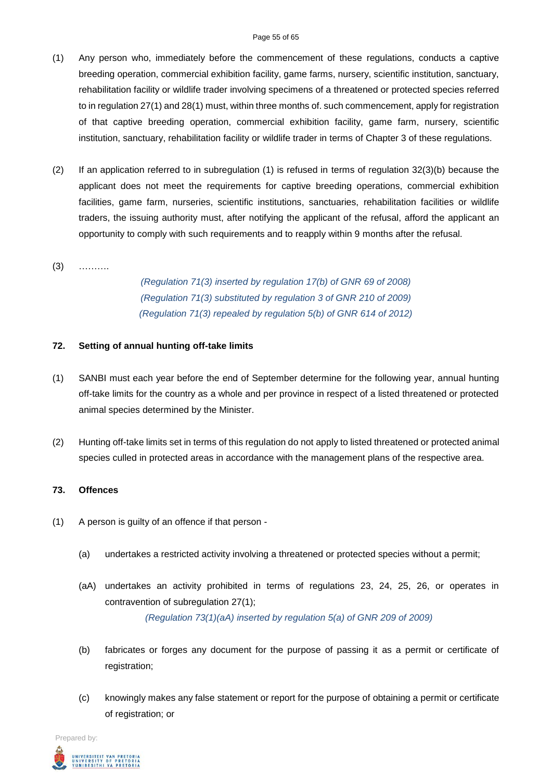- (1) Any person who, immediately before the commencement of these regulations, conducts a captive breeding operation, commercial exhibition facility, game farms, nursery, scientific institution, sanctuary, rehabilitation facility or wildlife trader involving specimens of a threatened or protected species referred to in regulation 27(1) and 28(1) must, within three months of. such commencement, apply for registration of that captive breeding operation, commercial exhibition facility, game farm, nursery, scientific institution, sanctuary, rehabilitation facility or wildlife trader in terms of Chapter 3 of these regulations.
- (2) If an application referred to in subregulation (1) is refused in terms of regulation 32(3)(b) because the applicant does not meet the requirements for captive breeding operations, commercial exhibition facilities, game farm, nurseries, scientific institutions, sanctuaries, rehabilitation facilities or wildlife traders, the issuing authority must, after notifying the applicant of the refusal, afford the applicant an opportunity to comply with such requirements and to reapply within 9 months after the refusal.

### (3) ……….

*(Regulation 71(3) inserted by regulation 17(b) of GNR 69 of 2008) (Regulation 71(3) substituted by regulation 3 of GNR 210 of 2009) (Regulation 71(3) repealed by regulation 5(b) of GNR 614 of 2012)*

#### **72. Setting of annual hunting off-take limits**

- (1) SANBI must each year before the end of September determine for the following year, annual hunting off-take limits for the country as a whole and per province in respect of a listed threatened or protected animal species determined by the Minister.
- (2) Hunting off-take limits set in terms of this regulation do not apply to listed threatened or protected animal species culled in protected areas in accordance with the management plans of the respective area.

#### **73. Offences**

- (1) A person is guilty of an offence if that person
	- (a) undertakes a restricted activity involving a threatened or protected species without a permit;
	- (aA) undertakes an activity prohibited in terms of regulations 23, 24, 25, 26, or operates in contravention of subregulation 27(1); *(Regulation 73(1)(aA) inserted by regulation 5(a) of GNR 209 of 2009)*
	- (b) fabricates or forges any document for the purpose of passing it as a permit or certificate of registration:
	- (c) knowingly makes any false statement or report for the purpose of obtaining a permit or certificate of registration; or

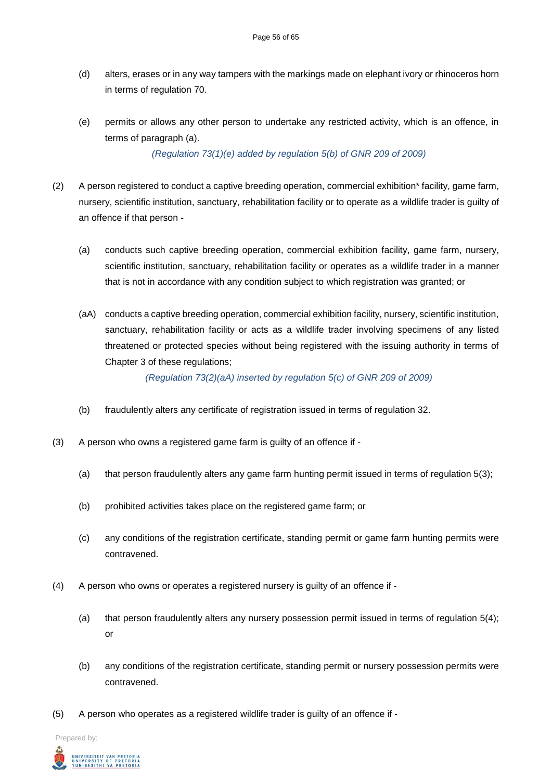- (d) alters, erases or in any way tampers with the markings made on elephant ivory or rhinoceros horn in terms of regulation 70.
- (e) permits or allows any other person to undertake any restricted activity, which is an offence, in terms of paragraph (a).

*(Regulation 73(1)(e) added by regulation 5(b) of GNR 209 of 2009)*

- (2) A person registered to conduct a captive breeding operation, commercial exhibition\* facility, game farm, nursery, scientific institution, sanctuary, rehabilitation facility or to operate as a wildlife trader is guilty of an offence if that person -
	- (a) conducts such captive breeding operation, commercial exhibition facility, game farm, nursery, scientific institution, sanctuary, rehabilitation facility or operates as a wildlife trader in a manner that is not in accordance with any condition subject to which registration was granted; or
	- (aA) conducts a captive breeding operation, commercial exhibition facility, nursery, scientific institution, sanctuary, rehabilitation facility or acts as a wildlife trader involving specimens of any listed threatened or protected species without being registered with the issuing authority in terms of Chapter 3 of these regulations;

*(Regulation 73(2)(aA) inserted by regulation 5(c) of GNR 209 of 2009)*

- (b) fraudulently alters any certificate of registration issued in terms of regulation 32.
- (3) A person who owns a registered game farm is guilty of an offence if
	- (a) that person fraudulently alters any game farm hunting permit issued in terms of regulation 5(3);
	- (b) prohibited activities takes place on the registered game farm; or
	- (c) any conditions of the registration certificate, standing permit or game farm hunting permits were contravened.
- (4) A person who owns or operates a registered nursery is guilty of an offence if
	- (a) that person fraudulently alters any nursery possession permit issued in terms of regulation 5(4); or
	- (b) any conditions of the registration certificate, standing permit or nursery possession permits were contravened.
- (5) A person who operates as a registered wildlife trader is guilty of an offence if -

Prepared by:

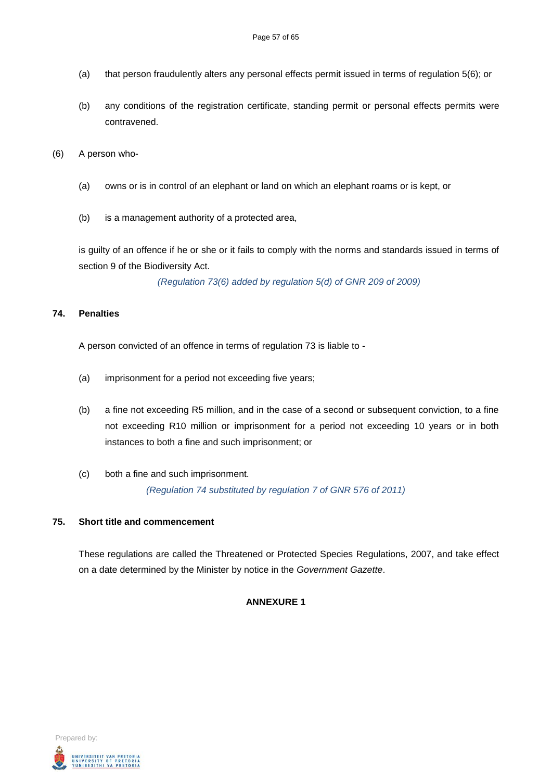- (a) that person fraudulently alters any personal effects permit issued in terms of regulation 5(6); or
- (b) any conditions of the registration certificate, standing permit or personal effects permits were contravened.

(6) A person who-

- (a) owns or is in control of an elephant or land on which an elephant roams or is kept, or
- (b) is a management authority of a protected area,

is guilty of an offence if he or she or it fails to comply with the norms and standards issued in terms of section 9 of the Biodiversity Act.

*(Regulation 73(6) added by regulation 5(d) of GNR 209 of 2009)*

#### **74. Penalties**

A person convicted of an offence in terms of regulation 73 is liable to -

- (a) imprisonment for a period not exceeding five years;
- (b) a fine not exceeding R5 million, and in the case of a second or subsequent conviction, to a fine not exceeding R10 million or imprisonment for a period not exceeding 10 years or in both instances to both a fine and such imprisonment; or
- (c) both a fine and such imprisonment. *(Regulation 74 substituted by regulation 7 of GNR 576 of 2011)*

# **75. Short title and commencement**

These regulations are called the Threatened or Protected Species Regulations, 2007, and take effect on a date determined by the Minister by notice in the *Government Gazette*.

#### **ANNEXURE 1**

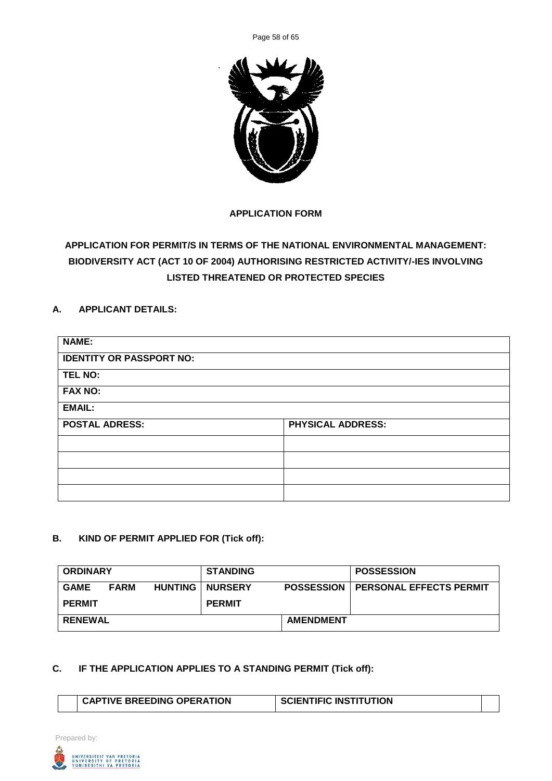Page 58 of 65



# **APPLICATION FORM**

# **APPLICATION FOR PERMIT/S IN TERMS OF THE NATIONAL ENVIRONMENTAL MANAGEMENT: BIODIVERSITY ACT (ACT 10 OF 2004) AUTHORISING RESTRICTED ACTIVITY/-IES INVOLVING LISTED THREATENED OR PROTECTED SPECIES**

# **A. APPLICANT DETAILS:**

| <b>NAME:</b>                    |                          |
|---------------------------------|--------------------------|
| <b>IDENTITY OR PASSPORT NO:</b> |                          |
| <b>TEL NO:</b>                  |                          |
| <b>FAX NO:</b>                  |                          |
| <b>EMAIL:</b>                   |                          |
| <b>POSTAL ADRESS:</b>           | <b>PHYSICAL ADDRESS:</b> |
|                                 |                          |
|                                 |                          |
|                                 |                          |
|                                 |                          |

# **B. KIND OF PERMIT APPLIED FOR (Tick off):**

| <b>ORDINARY</b> |             |                | <b>STANDING</b> |                   | <b>POSSESSION</b>              |
|-----------------|-------------|----------------|-----------------|-------------------|--------------------------------|
| <b>GAME</b>     | <b>FARM</b> | <b>HUNTING</b> | <b>NURSERY</b>  | <b>POSSESSION</b> | <b>PERSONAL EFFECTS PERMIT</b> |
| <b>PERMIT</b>   |             |                | <b>PERMIT</b>   |                   |                                |
| <b>RENEWAL</b>  |             |                |                 | <b>AMENDMENT</b>  |                                |

# **C. IF THE APPLICATION APPLIES TO A STANDING PERMIT (Tick off):**

| <b>CAPTIVE BREEDING OPERATION</b> | SCIENTIFIC INSTITUTION |  |
|-----------------------------------|------------------------|--|
|                                   |                        |  |

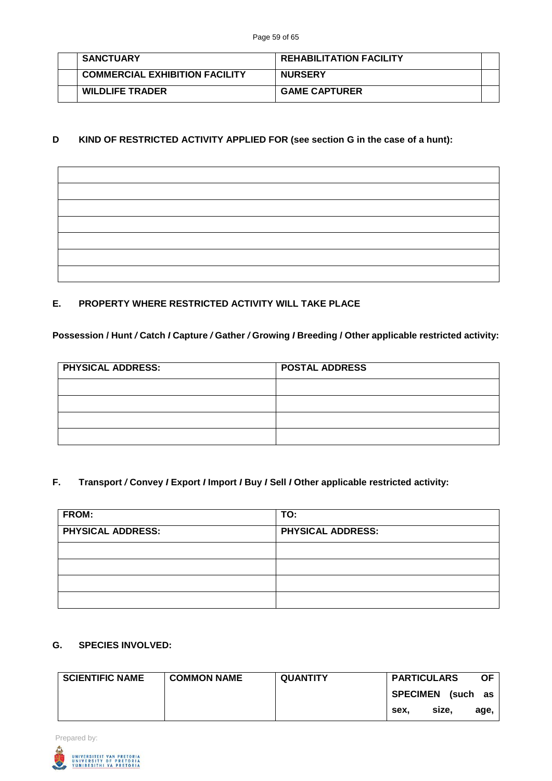|  | <b>SANCTUARY</b>                      | <b>REHABILITATION FACILITY</b> |  |
|--|---------------------------------------|--------------------------------|--|
|  | <b>COMMERCIAL EXHIBITION FACILITY</b> | <b>NURSERY</b>                 |  |
|  | <b>WILDLIFE TRADER</b>                | <b>GAME CAPTURER</b>           |  |

# **D KIND OF RESTRICTED ACTIVITY APPLIED FOR (see section G in the case of a hunt):**

# **E. PROPERTY WHERE RESTRICTED ACTIVITY WILL TAKE PLACE**

#### **Possession / Hunt** */* **Catch** *I* **Capture** */* **Gather** */* **Growing** *I* **Breeding / Other applicable restricted activity:**

| <b>PHYSICAL ADDRESS:</b> | <b>POSTAL ADDRESS</b> |
|--------------------------|-----------------------|
|                          |                       |
|                          |                       |
|                          |                       |
|                          |                       |

## **F. Transport** */* **Convey** *I* **Export** *I* **Import** *I* **Buy** *I* **Sell** *I* **Other applicable restricted activity:**

| <b>FROM:</b>             | TO:                      |
|--------------------------|--------------------------|
| <b>PHYSICAL ADDRESS:</b> | <b>PHYSICAL ADDRESS:</b> |
|                          |                          |
|                          |                          |
|                          |                          |
|                          |                          |

# **G. SPECIES INVOLVED:**

| <b>SCIENTIFIC NAME</b> | <b>COMMON NAME</b> | <b>QUANTITY</b> | <b>PARTICULARS</b>          | <b>OF</b> |
|------------------------|--------------------|-----------------|-----------------------------|-----------|
|                        |                    |                 | <b>SPECIMEN</b><br>(such as |           |
|                        |                    |                 | size.<br>sex.               | age,      |



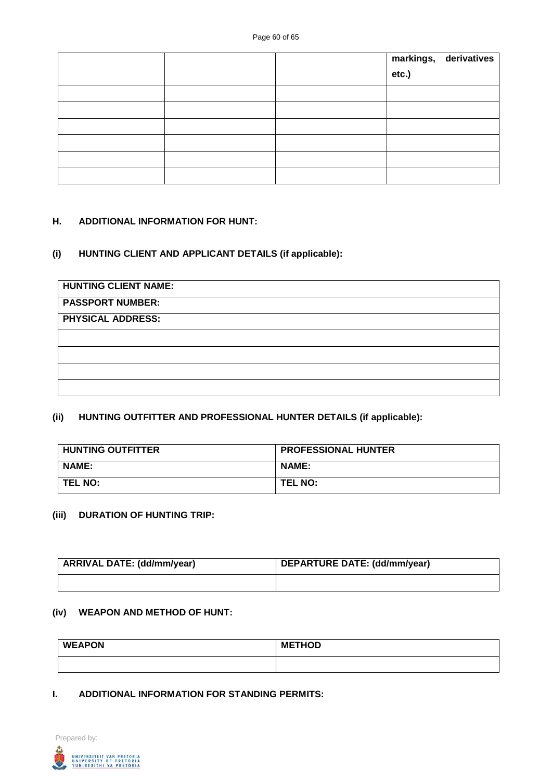|  | markings, derivatives<br>etc.) |
|--|--------------------------------|
|  |                                |
|  |                                |
|  |                                |
|  |                                |
|  |                                |
|  |                                |

#### **H. ADDITIONAL INFORMATION FOR HUNT:**

#### **(i) HUNTING CLIENT AND APPLICANT DETAILS (if applicable):**

| <b>HUNTING CLIENT NAME:</b> |  |
|-----------------------------|--|
| <b>PASSPORT NUMBER:</b>     |  |
| <b>PHYSICAL ADDRESS:</b>    |  |
|                             |  |
|                             |  |
|                             |  |
|                             |  |

# **(ii) HUNTING OUTFITTER AND PROFESSIONAL HUNTER DETAILS (if applicable):**

| <b>HUNTING OUTFITTER</b> | <b>PROFESSIONAL HUNTER</b> |
|--------------------------|----------------------------|
| <b>NAME:</b>             | <b>NAME:</b>               |
| <b>TEL NO:</b>           | <b>TEL NO:</b>             |

# **(iii) DURATION OF HUNTING TRIP:**

| ARRIVAL DATE: (dd/mm/year) | DEPARTURE DATE: (dd/mm/year) |
|----------------------------|------------------------------|
|                            |                              |

#### **(iv) WEAPON AND METHOD OF HUNT:**

| <b>WEAPON</b> | <b>METHOD</b> |  |  |
|---------------|---------------|--|--|
|               |               |  |  |

#### **I. ADDITIONAL INFORMATION FOR STANDING PERMITS:**

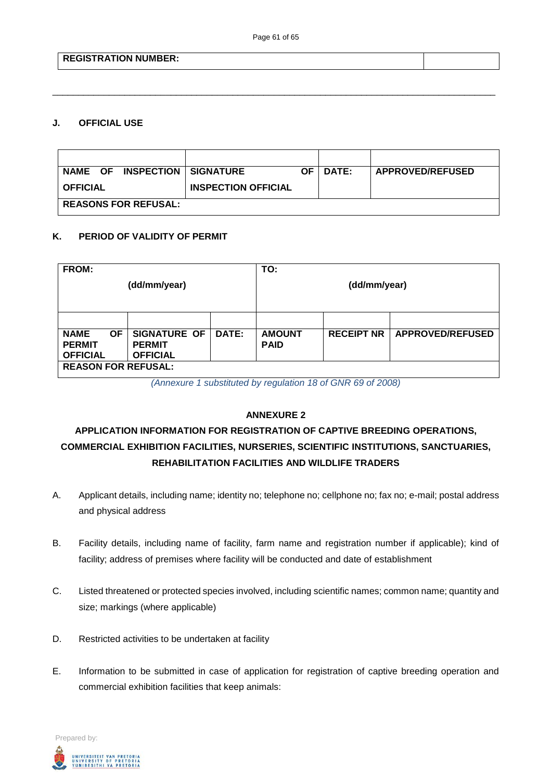\_\_\_\_\_\_\_\_\_\_\_\_\_\_\_\_\_\_\_\_\_\_\_\_\_\_\_\_\_\_\_\_\_\_\_\_\_\_\_\_\_\_\_\_\_\_\_\_\_\_\_\_\_\_\_\_\_\_\_\_\_\_\_\_\_\_\_\_\_\_\_\_\_\_\_\_\_\_\_\_\_\_\_\_\_\_

# **REGISTRATION NUMBER:**

#### **J. OFFICIAL USE**

| <b>INSPECTION</b><br><b>NAME OF</b> | <b>SIGNATURE</b>           | ΟF | <b>DATE:</b> | <b>APPROVED/REFUSED</b> |  |
|-------------------------------------|----------------------------|----|--------------|-------------------------|--|
| <b>OFFICIAL</b>                     | <b>INSPECTION OFFICIAL</b> |    |              |                         |  |
| <b>REASONS FOR REFUSAL:</b>         |                            |    |              |                         |  |

#### **K. PERIOD OF VALIDITY OF PERMIT**

| FROM:                      |           |                     |              | TO:           |                   |                         |
|----------------------------|-----------|---------------------|--------------|---------------|-------------------|-------------------------|
| (dd/mm/year)               |           |                     | (dd/mm/year) |               |                   |                         |
|                            |           |                     |              |               |                   |                         |
|                            |           |                     |              |               |                   |                         |
| <b>NAME</b>                | <b>OF</b> | <b>SIGNATURE OF</b> | DATE:        | <b>AMOUNT</b> | <b>RECEIPT NR</b> | <b>APPROVED/REFUSED</b> |
| <b>PERMIT</b>              |           | <b>PERMIT</b>       |              | <b>PAID</b>   |                   |                         |
| <b>OFFICIAL</b>            |           | <b>OFFICIAL</b>     |              |               |                   |                         |
| <b>REASON FOR REFUSAL:</b> |           |                     |              |               |                   |                         |

*(Annexure 1 substituted by regulation 18 of GNR 69 of 2008)*

#### **ANNEXURE 2**

# **APPLICATION INFORMATION FOR REGISTRATION OF CAPTIVE BREEDING OPERATIONS, COMMERCIAL EXHIBITION FACILITIES, NURSERIES, SCIENTIFIC INSTITUTIONS, SANCTUARIES, REHABILITATION FACILITIES AND WILDLIFE TRADERS**

- A. Applicant details, including name; identity no; telephone no; cellphone no; fax no; e-mail; postal address and physical address
- B. Facility details, including name of facility, farm name and registration number if applicable); kind of facility; address of premises where facility will be conducted and date of establishment
- C. Listed threatened or protected species involved, including scientific names; common name; quantity and size; markings (where applicable)
- D. Restricted activities to be undertaken at facility
- E. Information to be submitted in case of application for registration of captive breeding operation and commercial exhibition facilities that keep animals:

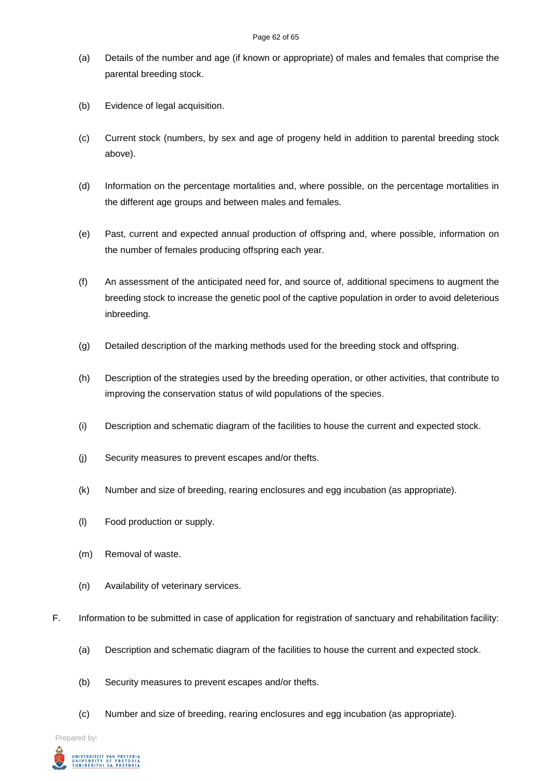- (a) Details of the number and age (if known or appropriate) of males and females that comprise the parental breeding stock.
- (b) Evidence of legal acquisition.
- (c) Current stock (numbers, by sex and age of progeny held in addition to parental breeding stock above).
- (d) Information on the percentage mortalities and, where possible, on the percentage mortalities in the different age groups and between males and females.
- (e) Past, current and expected annual production of offspring and, where possible, information on the number of females producing offspring each year.
- (f) An assessment of the anticipated need for, and source of, additional specimens to augment the breeding stock to increase the genetic pool of the captive population in order to avoid deleterious inbreeding.
- (g) Detailed description of the marking methods used for the breeding stock and offspring.
- (h) Description of the strategies used by the breeding operation, or other activities, that contribute to improving the conservation status of wild populations of the species.
- (i) Description and schematic diagram of the facilities to house the current and expected stock.
- (j) Security measures to prevent escapes and/or thefts.
- (k) Number and size of breeding, rearing enclosures and egg incubation (as appropriate).
- (l) Food production or supply.
- (m) Removal of waste.
- (n) Availability of veterinary services.
- F. Information to be submitted in case of application for registration of sanctuary and rehabilitation facility:
	- (a) Description and schematic diagram of the facilities to house the current and expected stock.
	- (b) Security measures to prevent escapes and/or thefts.
	- (c) Number and size of breeding, rearing enclosures and egg incubation (as appropriate).

Prepared by:

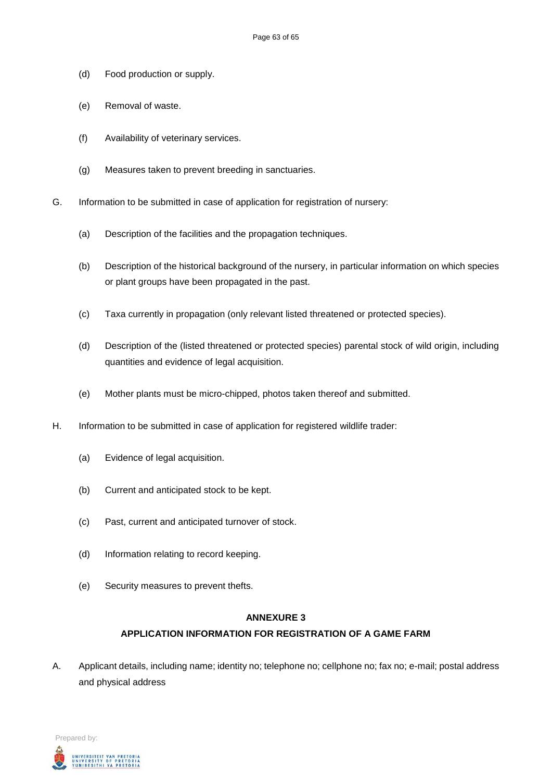- (d) Food production or supply.
- (e) Removal of waste.
- (f) Availability of veterinary services.
- (g) Measures taken to prevent breeding in sanctuaries.
- G. Information to be submitted in case of application for registration of nursery:
	- (a) Description of the facilities and the propagation techniques.
	- (b) Description of the historical background of the nursery, in particular information on which species or plant groups have been propagated in the past.
	- (c) Taxa currently in propagation (only relevant listed threatened or protected species).
	- (d) Description of the (listed threatened or protected species) parental stock of wild origin, including quantities and evidence of legal acquisition.
	- (e) Mother plants must be micro-chipped, photos taken thereof and submitted.
- H. Information to be submitted in case of application for registered wildlife trader:
	- (a) Evidence of legal acquisition.
	- (b) Current and anticipated stock to be kept.
	- (c) Past, current and anticipated turnover of stock.
	- (d) Information relating to record keeping.
	- (e) Security measures to prevent thefts.

#### **ANNEXURE 3**

# **APPLICATION INFORMATION FOR REGISTRATION OF A GAME FARM**

A. Applicant details, including name; identity no; telephone no; cellphone no; fax no; e-mail; postal address and physical address

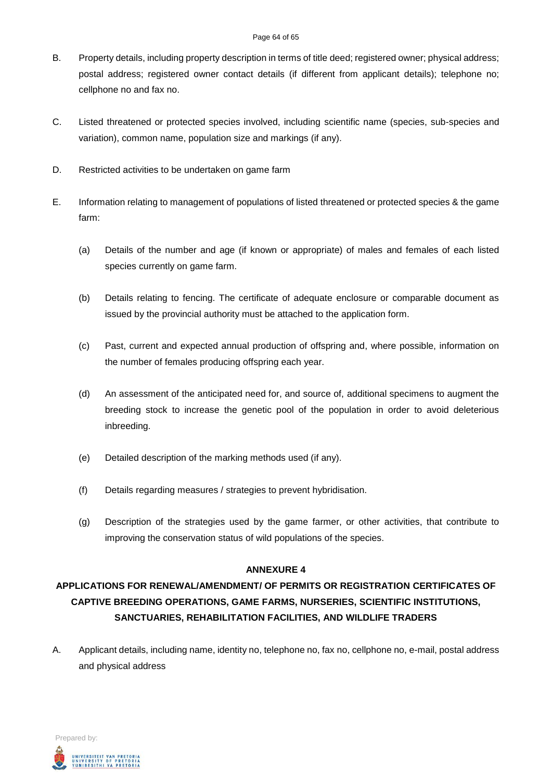#### Page 64 of 65

- B. Property details, including property description in terms of title deed; registered owner; physical address; postal address; registered owner contact details (if different from applicant details); telephone no; cellphone no and fax no.
- C. Listed threatened or protected species involved, including scientific name (species, sub-species and variation), common name, population size and markings (if any).
- D. Restricted activities to be undertaken on game farm
- E. Information relating to management of populations of listed threatened or protected species & the game farm:
	- (a) Details of the number and age (if known or appropriate) of males and females of each listed species currently on game farm.
	- (b) Details relating to fencing. The certificate of adequate enclosure or comparable document as issued by the provincial authority must be attached to the application form.
	- (c) Past, current and expected annual production of offspring and, where possible, information on the number of females producing offspring each year.
	- (d) An assessment of the anticipated need for, and source of, additional specimens to augment the breeding stock to increase the genetic pool of the population in order to avoid deleterious inbreeding.
	- (e) Detailed description of the marking methods used (if any).
	- (f) Details regarding measures / strategies to prevent hybridisation.
	- (g) Description of the strategies used by the game farmer, or other activities, that contribute to improving the conservation status of wild populations of the species.

# **ANNEXURE 4**

# **APPLICATIONS FOR RENEWAL/AMENDMENT/ OF PERMITS OR REGISTRATION CERTIFICATES OF CAPTIVE BREEDING OPERATIONS, GAME FARMS, NURSERIES, SCIENTIFIC INSTITUTIONS, SANCTUARIES, REHABILITATION FACILITIES, AND WILDLIFE TRADERS**

A. Applicant details, including name, identity no, telephone no, fax no, cellphone no, e-mail, postal address and physical address